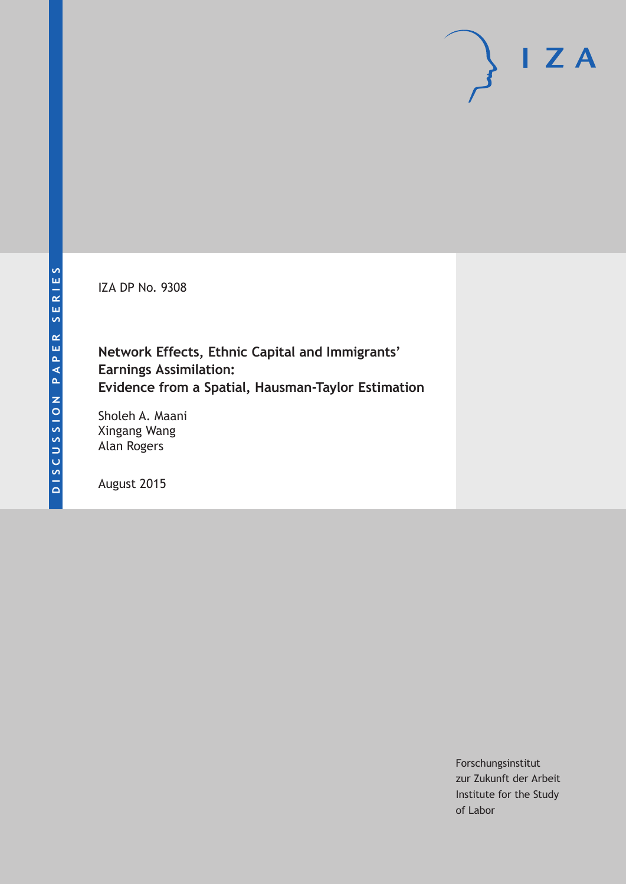IZA DP No. 9308

# **Network Effects, Ethnic Capital and Immigrants' Earnings Assimilation: Evidence from a Spatial, Hausman-Taylor Estimation**

Sholeh A. Maani Xingang Wang Alan Rogers

August 2015

Forschungsinstitut zur Zukunft der Arbeit Institute for the Study of Labor

 $I Z A$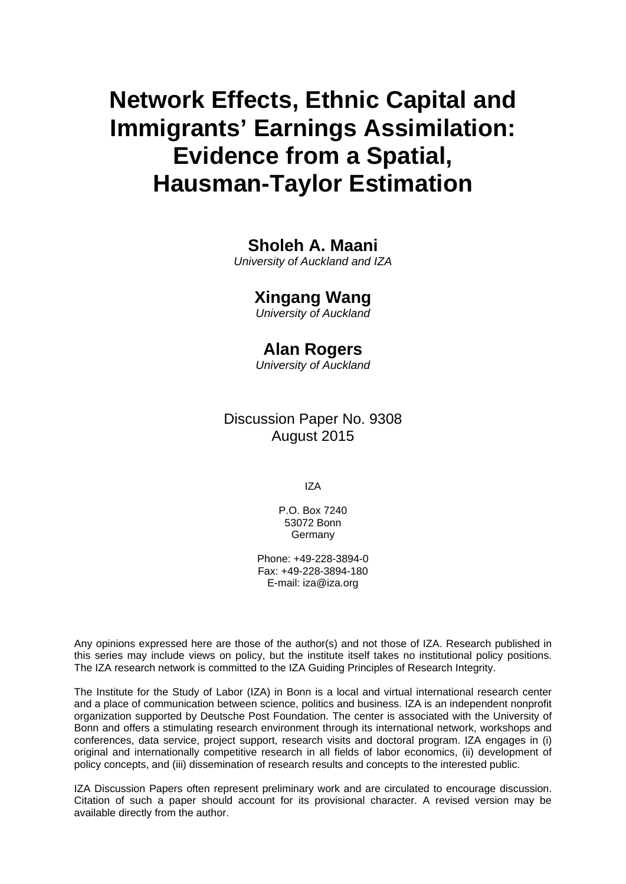# **Network Effects, Ethnic Capital and Immigrants' Earnings Assimilation: Evidence from a Spatial, Hausman-Taylor Estimation**

# **Sholeh A. Maani**

*University of Auckland and IZA* 

# **Xingang Wang**

*University of Auckland* 

# **Alan Rogers**

*University of Auckland*

Discussion Paper No. 9308 August 2015

IZA

P.O. Box 7240 53072 Bonn Germany

Phone: +49-228-3894-0 Fax: +49-228-3894-180 E-mail: iza@iza.org

Any opinions expressed here are those of the author(s) and not those of IZA. Research published in this series may include views on policy, but the institute itself takes no institutional policy positions. The IZA research network is committed to the IZA Guiding Principles of Research Integrity.

The Institute for the Study of Labor (IZA) in Bonn is a local and virtual international research center and a place of communication between science, politics and business. IZA is an independent nonprofit organization supported by Deutsche Post Foundation. The center is associated with the University of Bonn and offers a stimulating research environment through its international network, workshops and conferences, data service, project support, research visits and doctoral program. IZA engages in (i) original and internationally competitive research in all fields of labor economics, (ii) development of policy concepts, and (iii) dissemination of research results and concepts to the interested public.

IZA Discussion Papers often represent preliminary work and are circulated to encourage discussion. Citation of such a paper should account for its provisional character. A revised version may be available directly from the author.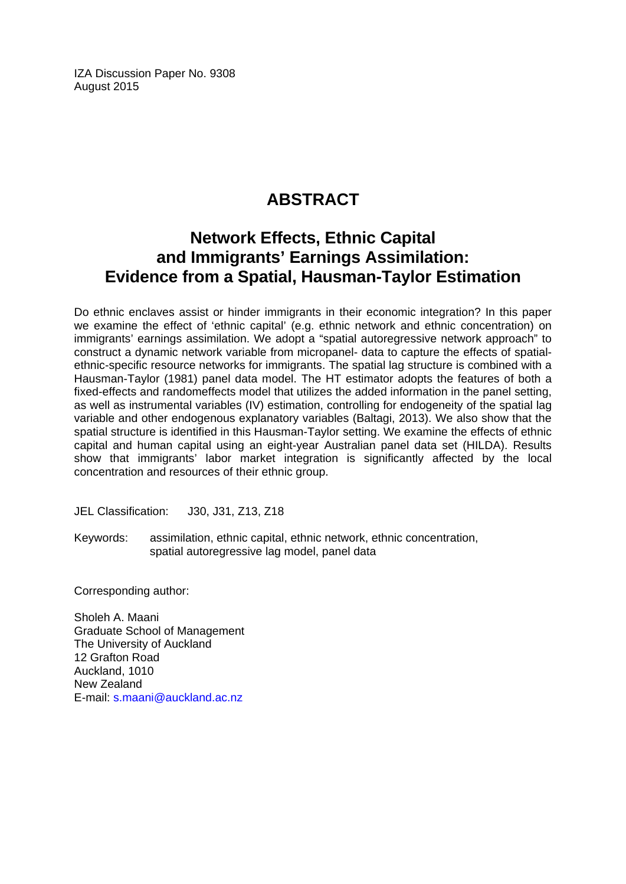IZA Discussion Paper No. 9308 August 2015

# **ABSTRACT**

# **Network Effects, Ethnic Capital and Immigrants' Earnings Assimilation: Evidence from a Spatial, Hausman-Taylor Estimation**

Do ethnic enclaves assist or hinder immigrants in their economic integration? In this paper we examine the effect of 'ethnic capital' (e.g. ethnic network and ethnic concentration) on immigrants' earnings assimilation. We adopt a "spatial autoregressive network approach" to construct a dynamic network variable from micropanel- data to capture the effects of spatialethnic-specific resource networks for immigrants. The spatial lag structure is combined with a Hausman-Taylor (1981) panel data model. The HT estimator adopts the features of both a fixed-effects and randomeffects model that utilizes the added information in the panel setting, as well as instrumental variables (IV) estimation, controlling for endogeneity of the spatial lag variable and other endogenous explanatory variables (Baltagi, 2013). We also show that the spatial structure is identified in this Hausman-Taylor setting. We examine the effects of ethnic capital and human capital using an eight-year Australian panel data set (HILDA). Results show that immigrants' labor market integration is significantly affected by the local concentration and resources of their ethnic group.

JEL Classification: J30, J31, Z13, Z18

Keywords: assimilation, ethnic capital, ethnic network, ethnic concentration, spatial autoregressive lag model, panel data

Corresponding author:

Sholeh A. Maani Graduate School of Management The University of Auckland 12 Grafton Road Auckland, 1010 New Zealand E-mail: s.maani@auckland.ac.nz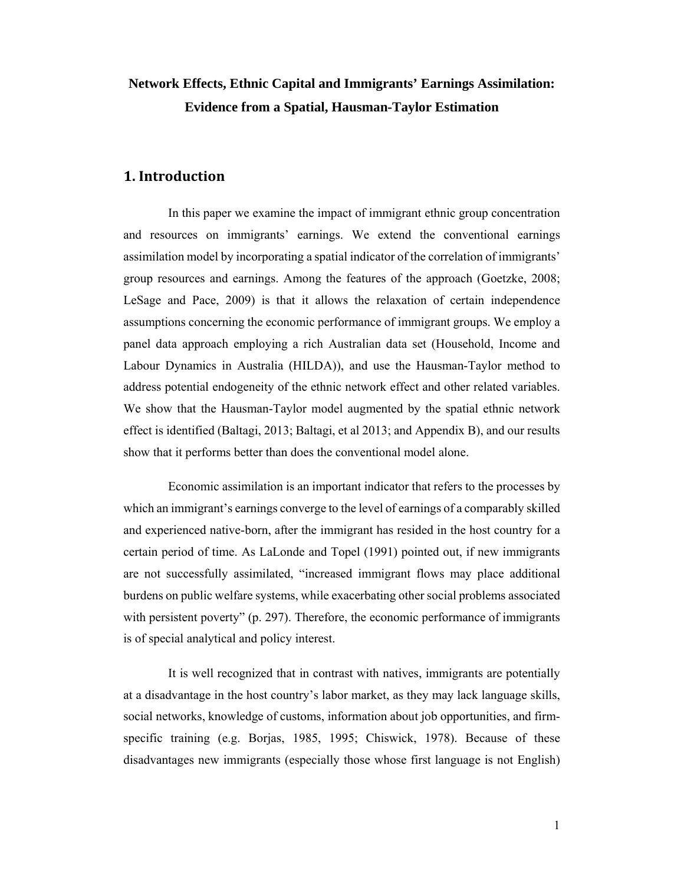# **Network Effects, Ethnic Capital and Immigrants' Earnings Assimilation: Evidence from a Spatial, Hausman-Taylor Estimation**

### **1. Introduction**

In this paper we examine the impact of immigrant ethnic group concentration and resources on immigrants' earnings. We extend the conventional earnings assimilation model by incorporating a spatial indicator of the correlation of immigrants' group resources and earnings. Among the features of the approach (Goetzke, 2008; LeSage and Pace, 2009) is that it allows the relaxation of certain independence assumptions concerning the economic performance of immigrant groups. We employ a panel data approach employing a rich Australian data set (Household, Income and Labour Dynamics in Australia (HILDA)), and use the Hausman-Taylor method to address potential endogeneity of the ethnic network effect and other related variables. We show that the Hausman-Taylor model augmented by the spatial ethnic network effect is identified (Baltagi, 2013; Baltagi, et al 2013; and Appendix B), and our results show that it performs better than does the conventional model alone.

Economic assimilation is an important indicator that refers to the processes by which an immigrant's earnings converge to the level of earnings of a comparably skilled and experienced native-born, after the immigrant has resided in the host country for a certain period of time. As LaLonde and Topel (1991) pointed out, if new immigrants are not successfully assimilated, "increased immigrant flows may place additional burdens on public welfare systems, while exacerbating other social problems associated with persistent poverty" (p. 297). Therefore, the economic performance of immigrants is of special analytical and policy interest.

It is well recognized that in contrast with natives, immigrants are potentially at a disadvantage in the host country's labor market, as they may lack language skills, social networks, knowledge of customs, information about job opportunities, and firmspecific training (e.g. Borjas, 1985, 1995; Chiswick, 1978). Because of these disadvantages new immigrants (especially those whose first language is not English)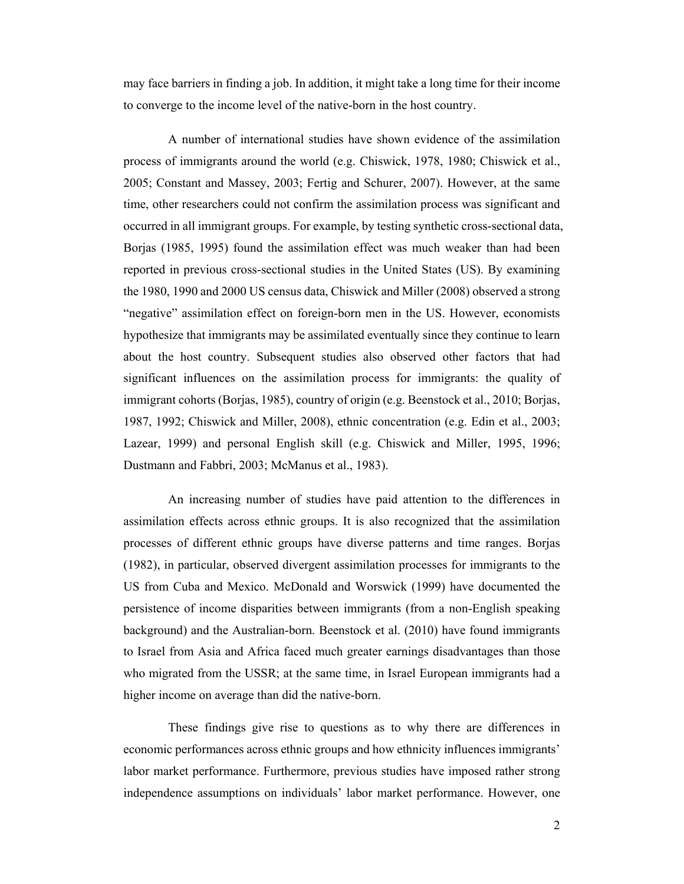may face barriers in finding a job. In addition, it might take a long time for their income to converge to the income level of the native-born in the host country.

A number of international studies have shown evidence of the assimilation process of immigrants around the world (e.g. Chiswick, 1978, 1980; Chiswick et al., 2005; Constant and Massey, 2003; Fertig and Schurer, 2007). However, at the same time, other researchers could not confirm the assimilation process was significant and occurred in all immigrant groups. For example, by testing synthetic cross-sectional data, Borjas (1985, 1995) found the assimilation effect was much weaker than had been reported in previous cross-sectional studies in the United States (US). By examining the 1980, 1990 and 2000 US census data, Chiswick and Miller (2008) observed a strong "negative" assimilation effect on foreign-born men in the US. However, economists hypothesize that immigrants may be assimilated eventually since they continue to learn about the host country. Subsequent studies also observed other factors that had significant influences on the assimilation process for immigrants: the quality of immigrant cohorts (Borjas, 1985), country of origin (e.g. Beenstock et al., 2010; Borjas, 1987, 1992; Chiswick and Miller, 2008), ethnic concentration (e.g. Edin et al., 2003; Lazear, 1999) and personal English skill (e.g. Chiswick and Miller, 1995, 1996; Dustmann and Fabbri, 2003; McManus et al., 1983).

An increasing number of studies have paid attention to the differences in assimilation effects across ethnic groups. It is also recognized that the assimilation processes of different ethnic groups have diverse patterns and time ranges. Borjas (1982), in particular, observed divergent assimilation processes for immigrants to the US from Cuba and Mexico. McDonald and Worswick (1999) have documented the persistence of income disparities between immigrants (from a non-English speaking background) and the Australian-born. Beenstock et al. (2010) have found immigrants to Israel from Asia and Africa faced much greater earnings disadvantages than those who migrated from the USSR; at the same time, in Israel European immigrants had a higher income on average than did the native-born.

These findings give rise to questions as to why there are differences in economic performances across ethnic groups and how ethnicity influences immigrants' labor market performance. Furthermore, previous studies have imposed rather strong independence assumptions on individuals' labor market performance. However, one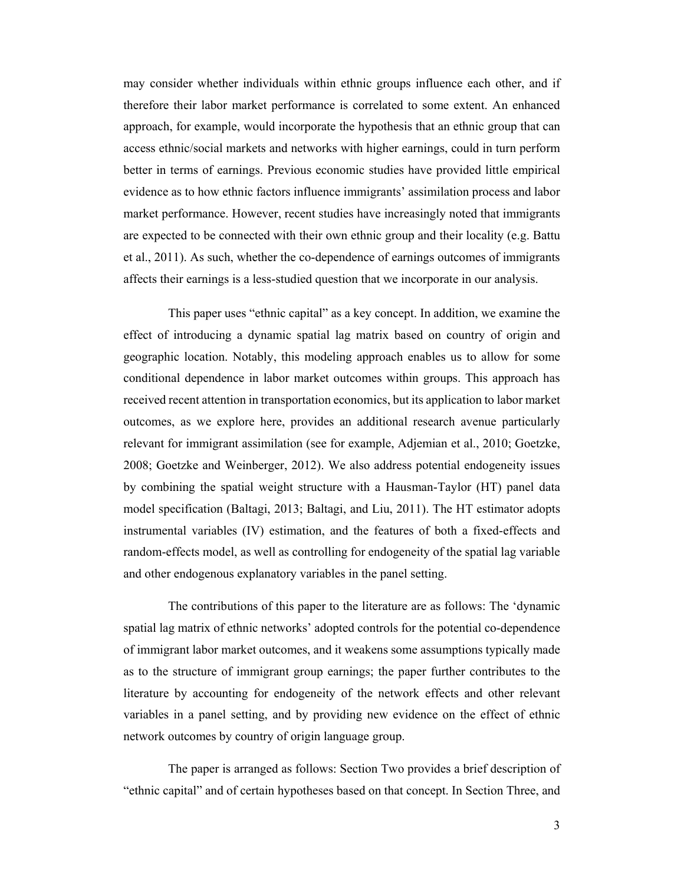may consider whether individuals within ethnic groups influence each other, and if therefore their labor market performance is correlated to some extent. An enhanced approach, for example, would incorporate the hypothesis that an ethnic group that can access ethnic/social markets and networks with higher earnings, could in turn perform better in terms of earnings. Previous economic studies have provided little empirical evidence as to how ethnic factors influence immigrants' assimilation process and labor market performance. However, recent studies have increasingly noted that immigrants are expected to be connected with their own ethnic group and their locality (e.g. Battu et al., 2011). As such, whether the co-dependence of earnings outcomes of immigrants affects their earnings is a less-studied question that we incorporate in our analysis.

This paper uses "ethnic capital" as a key concept. In addition, we examine the effect of introducing a dynamic spatial lag matrix based on country of origin and geographic location. Notably, this modeling approach enables us to allow for some conditional dependence in labor market outcomes within groups. This approach has received recent attention in transportation economics, but its application to labor market outcomes, as we explore here, provides an additional research avenue particularly relevant for immigrant assimilation (see for example, Adjemian et al., 2010; Goetzke, 2008; Goetzke and Weinberger, 2012). We also address potential endogeneity issues by combining the spatial weight structure with a Hausman-Taylor (HT) panel data model specification (Baltagi, 2013; Baltagi, and Liu, 2011). The HT estimator adopts instrumental variables (IV) estimation, and the features of both a fixed-effects and random-effects model, as well as controlling for endogeneity of the spatial lag variable and other endogenous explanatory variables in the panel setting.

The contributions of this paper to the literature are as follows: The 'dynamic spatial lag matrix of ethnic networks' adopted controls for the potential co-dependence of immigrant labor market outcomes, and it weakens some assumptions typically made as to the structure of immigrant group earnings; the paper further contributes to the literature by accounting for endogeneity of the network effects and other relevant variables in a panel setting, and by providing new evidence on the effect of ethnic network outcomes by country of origin language group.

The paper is arranged as follows: Section Two provides a brief description of "ethnic capital" and of certain hypotheses based on that concept. In Section Three, and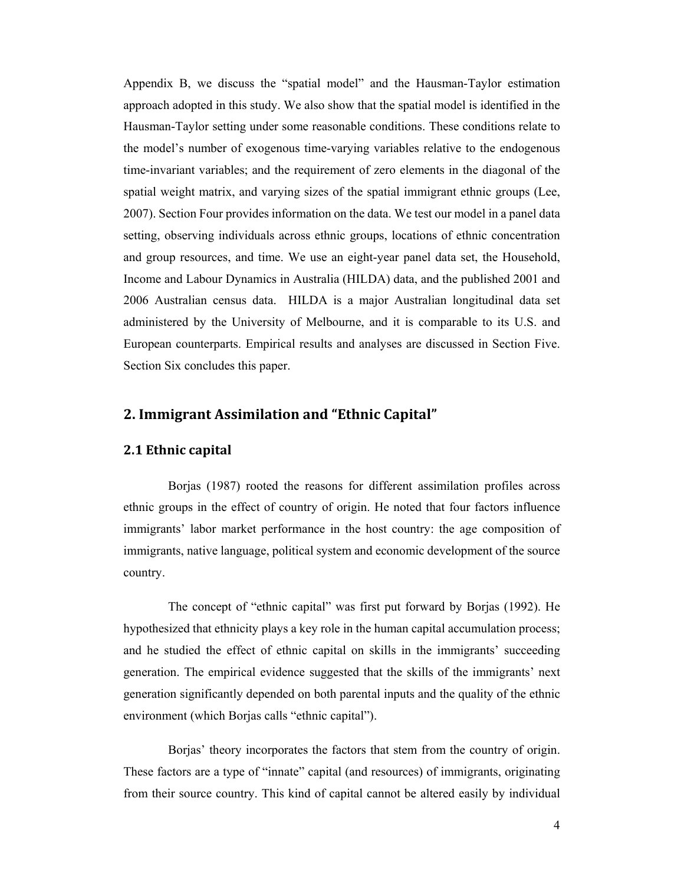Appendix B, we discuss the "spatial model" and the Hausman-Taylor estimation approach adopted in this study. We also show that the spatial model is identified in the Hausman-Taylor setting under some reasonable conditions. These conditions relate to the model's number of exogenous time-varying variables relative to the endogenous time-invariant variables; and the requirement of zero elements in the diagonal of the spatial weight matrix, and varying sizes of the spatial immigrant ethnic groups (Lee, 2007). Section Four provides information on the data. We test our model in a panel data setting, observing individuals across ethnic groups, locations of ethnic concentration and group resources, and time. We use an eight-year panel data set, the Household, Income and Labour Dynamics in Australia (HILDA) data, and the published 2001 and 2006 Australian census data. HILDA is a major Australian longitudinal data set administered by the University of Melbourne, and it is comparable to its U.S. and European counterparts. Empirical results and analyses are discussed in Section Five. Section Six concludes this paper.

### **2. Immigrant Assimilation and "Ethnic Capital"**

#### **2.1 Ethnic capital**

Borjas (1987) rooted the reasons for different assimilation profiles across ethnic groups in the effect of country of origin. He noted that four factors influence immigrants' labor market performance in the host country: the age composition of immigrants, native language, political system and economic development of the source country.

The concept of "ethnic capital" was first put forward by Borjas (1992). He hypothesized that ethnicity plays a key role in the human capital accumulation process; and he studied the effect of ethnic capital on skills in the immigrants' succeeding generation. The empirical evidence suggested that the skills of the immigrants' next generation significantly depended on both parental inputs and the quality of the ethnic environment (which Borjas calls "ethnic capital").

Borjas' theory incorporates the factors that stem from the country of origin. These factors are a type of "innate" capital (and resources) of immigrants, originating from their source country. This kind of capital cannot be altered easily by individual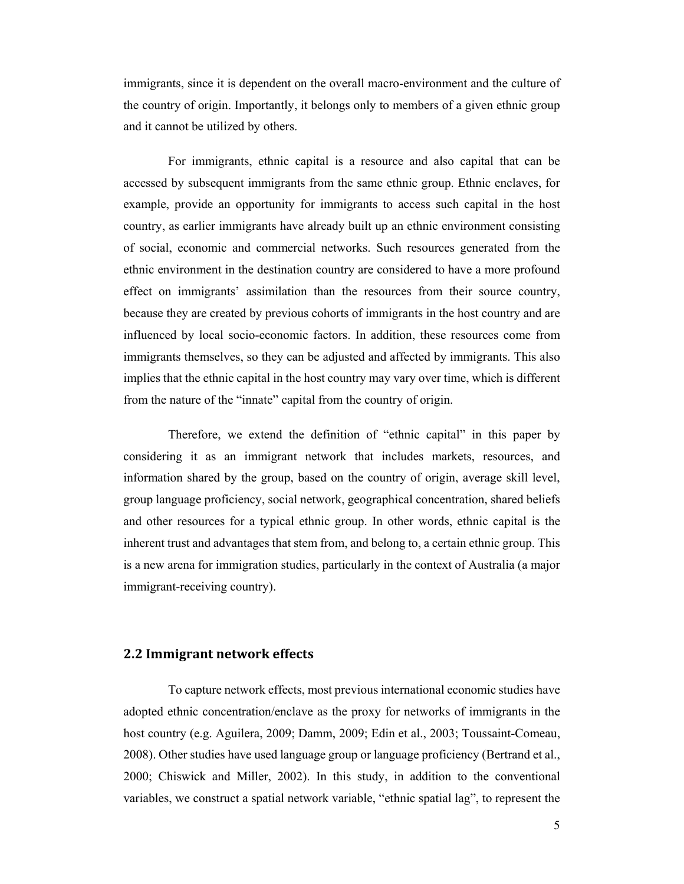immigrants, since it is dependent on the overall macro-environment and the culture of the country of origin. Importantly, it belongs only to members of a given ethnic group and it cannot be utilized by others.

For immigrants, ethnic capital is a resource and also capital that can be accessed by subsequent immigrants from the same ethnic group. Ethnic enclaves, for example, provide an opportunity for immigrants to access such capital in the host country, as earlier immigrants have already built up an ethnic environment consisting of social, economic and commercial networks. Such resources generated from the ethnic environment in the destination country are considered to have a more profound effect on immigrants' assimilation than the resources from their source country, because they are created by previous cohorts of immigrants in the host country and are influenced by local socio-economic factors. In addition, these resources come from immigrants themselves, so they can be adjusted and affected by immigrants. This also implies that the ethnic capital in the host country may vary over time, which is different from the nature of the "innate" capital from the country of origin.

Therefore, we extend the definition of "ethnic capital" in this paper by considering it as an immigrant network that includes markets, resources, and information shared by the group, based on the country of origin, average skill level, group language proficiency, social network, geographical concentration, shared beliefs and other resources for a typical ethnic group. In other words, ethnic capital is the inherent trust and advantages that stem from, and belong to, a certain ethnic group. This is a new arena for immigration studies, particularly in the context of Australia (a major immigrant-receiving country).

#### **2.2 Immigrant network effects**

To capture network effects, most previous international economic studies have adopted ethnic concentration/enclave as the proxy for networks of immigrants in the host country (e.g. Aguilera, 2009; Damm, 2009; Edin et al., 2003; Toussaint-Comeau, 2008). Other studies have used language group or language proficiency (Bertrand et al., 2000; Chiswick and Miller, 2002). In this study, in addition to the conventional variables, we construct a spatial network variable, "ethnic spatial lag", to represent the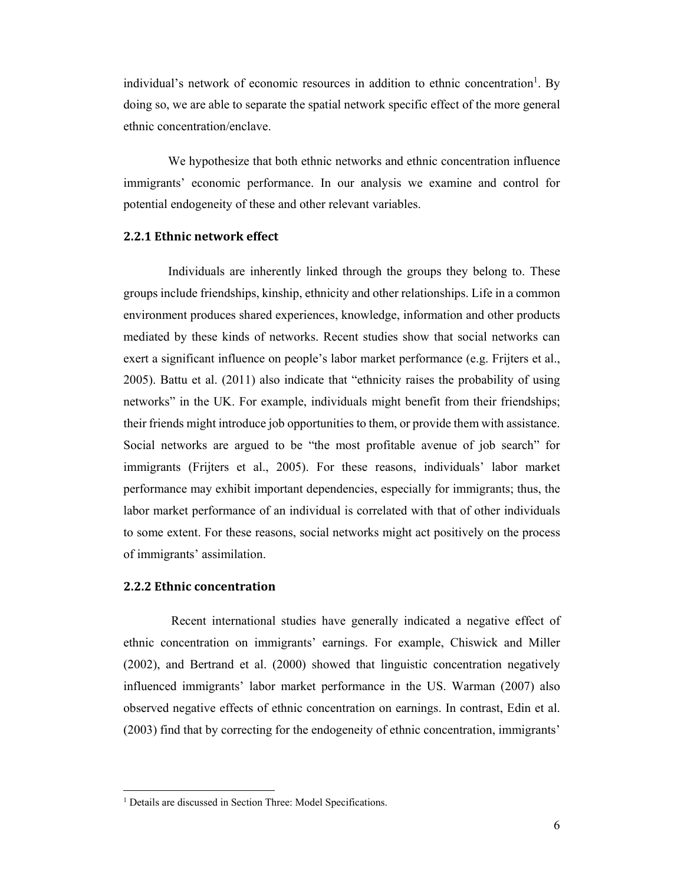individual's network of economic resources in addition to ethnic concentration<sup>1</sup>. By doing so, we are able to separate the spatial network specific effect of the more general ethnic concentration/enclave.

We hypothesize that both ethnic networks and ethnic concentration influence immigrants' economic performance. In our analysis we examine and control for potential endogeneity of these and other relevant variables.

#### **2.2.1 Ethnic network effect**

Individuals are inherently linked through the groups they belong to. These groups include friendships, kinship, ethnicity and other relationships. Life in a common environment produces shared experiences, knowledge, information and other products mediated by these kinds of networks. Recent studies show that social networks can exert a significant influence on people's labor market performance (e.g. Frijters et al., 2005). Battu et al. (2011) also indicate that "ethnicity raises the probability of using networks" in the UK. For example, individuals might benefit from their friendships; their friends might introduce job opportunities to them, or provide them with assistance. Social networks are argued to be "the most profitable avenue of job search" for immigrants (Frijters et al., 2005). For these reasons, individuals' labor market performance may exhibit important dependencies, especially for immigrants; thus, the labor market performance of an individual is correlated with that of other individuals to some extent. For these reasons, social networks might act positively on the process of immigrants' assimilation.

#### **2.2.2 Ethnic concentration**

 $\overline{a}$ 

 Recent international studies have generally indicated a negative effect of ethnic concentration on immigrants' earnings. For example, Chiswick and Miller (2002), and Bertrand et al. (2000) showed that linguistic concentration negatively influenced immigrants' labor market performance in the US. Warman (2007) also observed negative effects of ethnic concentration on earnings. In contrast, Edin et al. (2003) find that by correcting for the endogeneity of ethnic concentration, immigrants'

<sup>&</sup>lt;sup>1</sup> Details are discussed in Section Three: Model Specifications.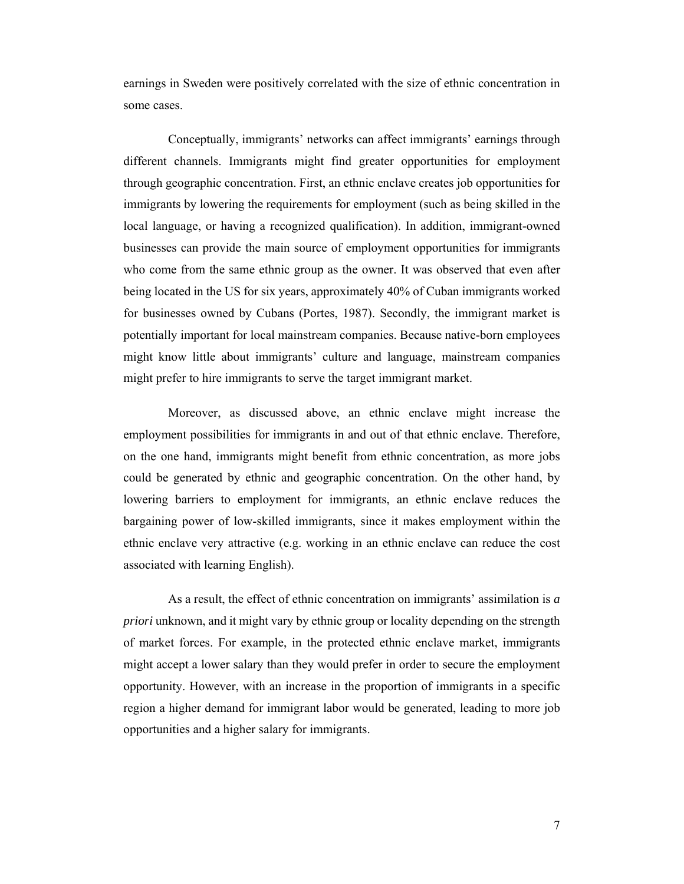earnings in Sweden were positively correlated with the size of ethnic concentration in some cases.

Conceptually, immigrants' networks can affect immigrants' earnings through different channels. Immigrants might find greater opportunities for employment through geographic concentration. First, an ethnic enclave creates job opportunities for immigrants by lowering the requirements for employment (such as being skilled in the local language, or having a recognized qualification). In addition, immigrant-owned businesses can provide the main source of employment opportunities for immigrants who come from the same ethnic group as the owner. It was observed that even after being located in the US for six years, approximately 40% of Cuban immigrants worked for businesses owned by Cubans (Portes, 1987). Secondly, the immigrant market is potentially important for local mainstream companies. Because native-born employees might know little about immigrants' culture and language, mainstream companies might prefer to hire immigrants to serve the target immigrant market.

Moreover, as discussed above, an ethnic enclave might increase the employment possibilities for immigrants in and out of that ethnic enclave. Therefore, on the one hand, immigrants might benefit from ethnic concentration, as more jobs could be generated by ethnic and geographic concentration. On the other hand, by lowering barriers to employment for immigrants, an ethnic enclave reduces the bargaining power of low-skilled immigrants, since it makes employment within the ethnic enclave very attractive (e.g. working in an ethnic enclave can reduce the cost associated with learning English).

As a result, the effect of ethnic concentration on immigrants' assimilation is *a priori* unknown, and it might vary by ethnic group or locality depending on the strength of market forces. For example, in the protected ethnic enclave market, immigrants might accept a lower salary than they would prefer in order to secure the employment opportunity. However, with an increase in the proportion of immigrants in a specific region a higher demand for immigrant labor would be generated, leading to more job opportunities and a higher salary for immigrants.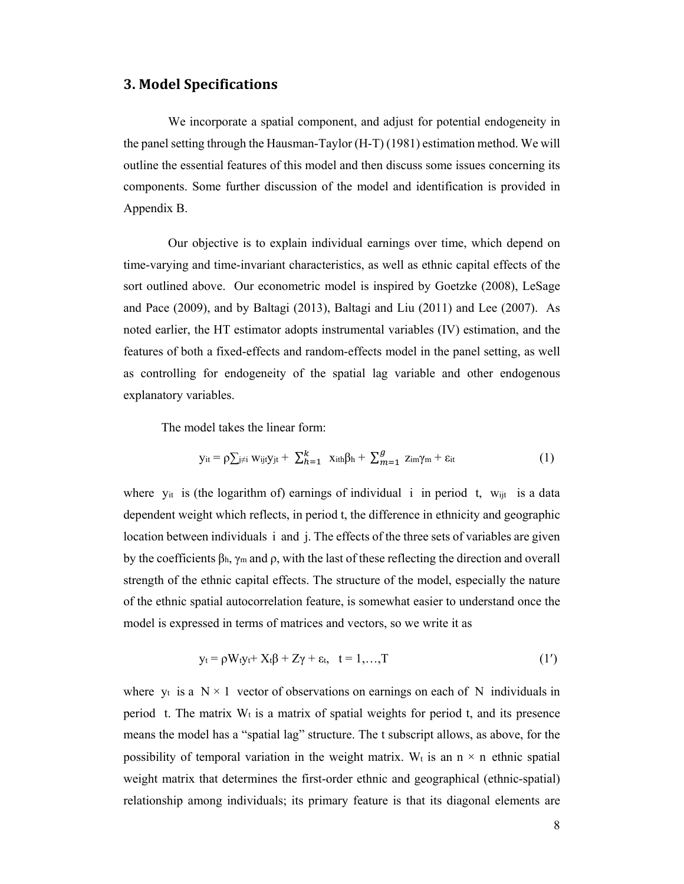### **3. Model Specifications**

We incorporate a spatial component, and adjust for potential endogeneity in the panel setting through the Hausman-Taylor (H-T) (1981) estimation method. We will outline the essential features of this model and then discuss some issues concerning its components. Some further discussion of the model and identification is provided in Appendix B.

Our objective is to explain individual earnings over time, which depend on time-varying and time-invariant characteristics, as well as ethnic capital effects of the sort outlined above. Our econometric model is inspired by Goetzke (2008), LeSage and Pace (2009), and by Baltagi (2013), Baltagi and Liu (2011) and Lee (2007). As noted earlier, the HT estimator adopts instrumental variables (IV) estimation, and the features of both a fixed-effects and random-effects model in the panel setting, as well as controlling for endogeneity of the spatial lag variable and other endogenous explanatory variables.

The model takes the linear form:

$$
y_{it} = \rho \sum_{j \neq i} w_{ijt} y_{jt} + \sum_{h=1}^{k} x_{ith} \beta_h + \sum_{m=1}^{g} z_{im} \gamma_m + \epsilon_{it}
$$
 (1)

where y<sub>it</sub> is (the logarithm of) earnings of individual i in period t, w<sub>ijt</sub> is a data dependent weight which reflects, in period t, the difference in ethnicity and geographic location between individuals i and j. The effects of the three sets of variables are given by the coefficients  $\beta_h$ ,  $\gamma_m$  and  $\rho$ , with the last of these reflecting the direction and overall strength of the ethnic capital effects. The structure of the model, especially the nature of the ethnic spatial autocorrelation feature, is somewhat easier to understand once the model is expressed in terms of matrices and vectors, so we write it as

$$
y_t = \rho W_t y_t + X_t \beta + Z \gamma + \varepsilon_t, \quad t = 1,...,T
$$
 (1')

where  $y_t$  is a  $N \times 1$  vector of observations on earnings on each of N individuals in period t. The matrix  $W_t$  is a matrix of spatial weights for period t, and its presence means the model has a "spatial lag" structure. The t subscript allows, as above, for the possibility of temporal variation in the weight matrix. W<sub>t</sub> is an  $n \times n$  ethnic spatial weight matrix that determines the first-order ethnic and geographical (ethnic-spatial) relationship among individuals; its primary feature is that its diagonal elements are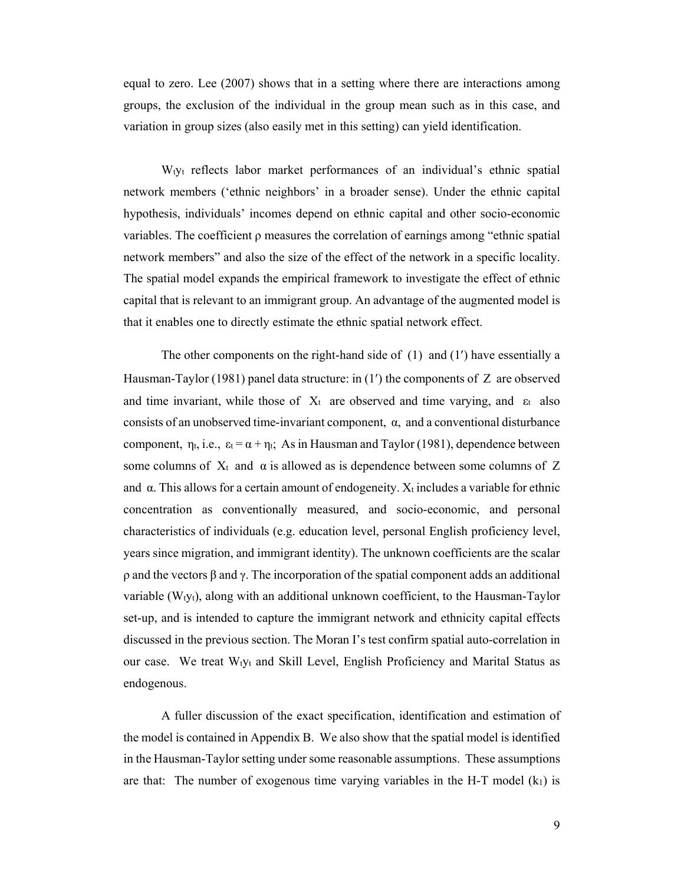equal to zero. Lee (2007) shows that in a setting where there are interactions among groups, the exclusion of the individual in the group mean such as in this case, and variation in group sizes (also easily met in this setting) can yield identification.

Wtyt reflects labor market performances of an individual's ethnic spatial network members ('ethnic neighbors' in a broader sense). Under the ethnic capital hypothesis, individuals' incomes depend on ethnic capital and other socio-economic variables. The coefficient  $\rho$  measures the correlation of earnings among "ethnic spatial" network members" and also the size of the effect of the network in a specific locality. The spatial model expands the empirical framework to investigate the effect of ethnic capital that is relevant to an immigrant group. An advantage of the augmented model is that it enables one to directly estimate the ethnic spatial network effect.

The other components on the right-hand side of  $(1)$  and  $(1')$  have essentially a Hausman-Taylor (1981) panel data structure: in  $(1')$  the components of Z are observed and time invariant, while those of  $X_t$  are observed and time varying, and  $\varepsilon_t$  also consists of an unobserved time-invariant component,  $\alpha$ , and a conventional disturbance component,  $\eta_t$ , i.e.,  $\varepsilon_t = \alpha + \eta_t$ ; As in Hausman and Taylor (1981), dependence between some columns of  $X_t$  and  $\alpha$  is allowed as is dependence between some columns of Z and  $\alpha$ . This allows for a certain amount of endogeneity.  $X_t$  includes a variable for ethnic concentration as conventionally measured, and socio-economic, and personal characteristics of individuals (e.g. education level, personal English proficiency level, years since migration, and immigrant identity). The unknown coefficients are the scalar ρ and the vectors β and γ. The incorporation of the spatial component adds an additional variable  $(W<sub>t</sub>y<sub>t</sub>)$ , along with an additional unknown coefficient, to the Hausman-Taylor set-up, and is intended to capture the immigrant network and ethnicity capital effects discussed in the previous section. The Moran I's test confirm spatial auto-correlation in our case. We treat Wtyt and Skill Level, English Proficiency and Marital Status as endogenous.

A fuller discussion of the exact specification, identification and estimation of the model is contained in Appendix B. We also show that the spatial model is identified in the Hausman-Taylor setting under some reasonable assumptions. These assumptions are that: The number of exogenous time varying variables in the H-T model  $(k_1)$  is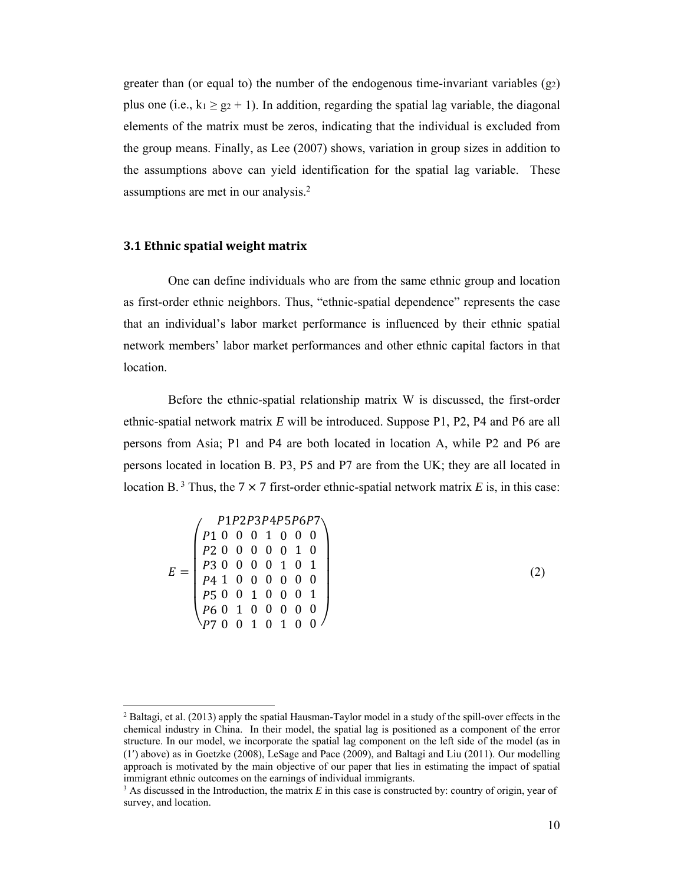greater than (or equal to) the number of the endogenous time-invariant variables  $(g_2)$ plus one (i.e.,  $k_1 \ge g_2 + 1$ ). In addition, regarding the spatial lag variable, the diagonal elements of the matrix must be zeros, indicating that the individual is excluded from the group means. Finally, as Lee (2007) shows, variation in group sizes in addition to the assumptions above can yield identification for the spatial lag variable. These assumptions are met in our analysis.2

#### **3.1 Ethnic spatial weight matrix**

One can define individuals who are from the same ethnic group and location as first-order ethnic neighbors. Thus, "ethnic-spatial dependence" represents the case that an individual's labor market performance is influenced by their ethnic spatial network members' labor market performances and other ethnic capital factors in that location.

Before the ethnic-spatial relationship matrix W is discussed, the first-order ethnic-spatial network matrix *E* will be introduced. Suppose P1, P2, P4 and P6 are all persons from Asia; P1 and P4 are both located in location A, while P2 and P6 are persons located in location B. P3, P5 and P7 are from the UK; they are all located in location B.<sup>3</sup> Thus, the 7  $\times$  7 first-order ethnic-spatial network matrix *E* is, in this case:

|  |  |  |  |  |  |  | P1P2P3P4P5P6P7<br>$\begin{array}{cccccccc} p1 & 0 & 0 & 0 & 1 & 0 & 0 & 0 \\ p2 & 0 & 0 & 0 & 0 & 0 & 1 & 0 \end{array}$<br>P30000101<br>P41000000<br>P500100001<br>P60100000<br>P70010100 |  |
|--|--|--|--|--|--|--|--------------------------------------------------------------------------------------------------------------------------------------------------------------------------------------------|--|

 $(2)$ 

<sup>&</sup>lt;sup>2</sup> Baltagi, et al. (2013) apply the spatial Hausman-Taylor model in a study of the spill-over effects in the chemical industry in China. In their model, the spatial lag is positioned as a component of the error structure. In our model, we incorporate the spatial lag component on the left side of the model (as in  $(1)$  above) as in Goetzke (2008), LeSage and Pace (2009), and Baltagi and Liu (2011). Our modelling approach is motivated by the main objective of our paper that lies in estimating the impact of spatial immigrant ethnic outcomes on the earnings of individual immigrants.

 $3$  As discussed in the Introduction, the matrix *E* in this case is constructed by: country of origin, year of survey, and location.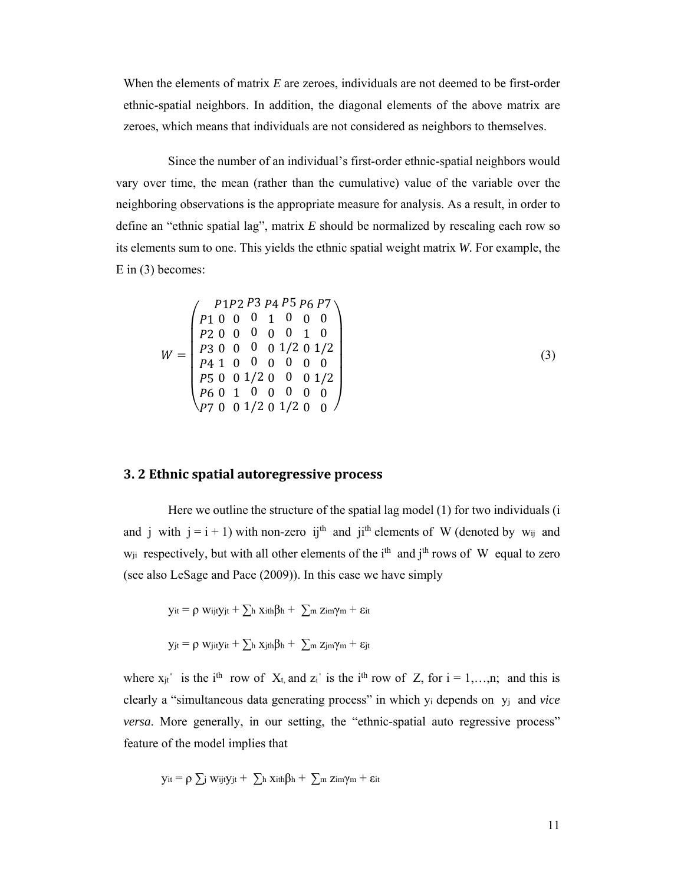When the elements of matrix *E* are zeroes, individuals are not deemed to be first-order ethnic-spatial neighbors. In addition, the diagonal elements of the above matrix are zeroes, which means that individuals are not considered as neighbors to themselves.

Since the number of an individual's first-order ethnic-spatial neighbors would vary over time, the mean (rather than the cumulative) value of the variable over the neighboring observations is the appropriate measure for analysis. As a result, in order to define an "ethnic spatial lag", matrix *E* should be normalized by rescaling each row so its elements sum to one. This yields the ethnic spatial weight matrix *W.* For example, the E in (3) becomes:

$$
W = \begin{pmatrix} P1P2 & P3 & P4 & P5 & P6 & P7 \\ P1 & 0 & 0 & 0 & 1 & 0 & 0 & 0 \\ P2 & 0 & 0 & 0 & 0 & 0 & 1 & 0 \\ P3 & 0 & 0 & 0 & 0 & 1/2 & 0 & 1/2 \\ P4 & 1 & 0 & 0 & 0 & 0 & 0 & 0 \\ P5 & 0 & 0 & 1/2 & 0 & 0 & 0 & 1/2 \\ P6 & 0 & 1 & 0 & 0 & 0 & 0 & 0 \\ P7 & 0 & 0 & 1/2 & 0 & 1/2 & 0 & 0 \end{pmatrix}
$$
(3)

#### **3. 2 Ethnic spatial autoregressive process**

Here we outline the structure of the spatial lag model (1) for two individuals (i and j with  $j = i + 1$ ) with non-zero ij<sup>th</sup> and ji<sup>th</sup> elements of W (denoted by w<sub>ij</sub> and  $w_{ii}$  respectively, but with all other elements of the i<sup>th</sup> and j<sup>th</sup> rows of W equal to zero (see also LeSage and Pace (2009)). In this case we have simply

$$
y_{it} = \rho w_{ijt}y_{jt} + \sum_{h} x_{ith}\beta_{h} + \sum_{m} z_{im}\gamma_{m} + \epsilon_{it}
$$
  

$$
y_{jt} = \rho w_{jit}y_{it} + \sum_{h} x_{jth}\beta_{h} + \sum_{m} z_{jm}\gamma_{m} + \epsilon_{jt}
$$

where  $x_{jt}$  is the i<sup>th</sup> row of  $X_t$ , and  $z_i$  is the i<sup>th</sup> row of Z, for  $i = 1,...,n$ ; and this is clearly a "simultaneous data generating process" in which yi depends on yj and *vice versa*. More generally, in our setting, the "ethnic-spatial auto regressive process" feature of the model implies that

$$
y_{it} = \rho \sum_{j} w_{ijt} y_{jt} + \sum_{h} x_{ith} \beta_h + \sum_{m} z_{im} \gamma_m + \epsilon_{it}
$$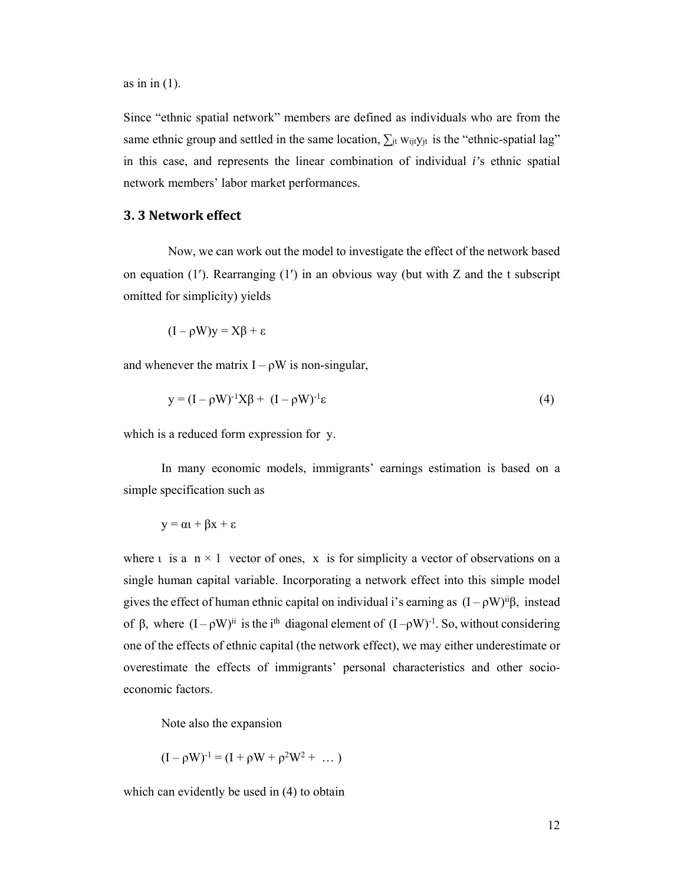as in in  $(1)$ .

Since "ethnic spatial network" members are defined as individuals who are from the same ethnic group and settled in the same location,  $\sum_{i} w_{ij}$  is the "ethnic-spatial lag" in this case, and represents the linear combination of individual *i'*s ethnic spatial network members' labor market performances.

#### **3. 3 Network effect**

Now, we can work out the model to investigate the effect of the network based on equation  $(1')$ . Rearranging  $(1')$  in an obvious way (but with Z and the t subscript omitted for simplicity) yields

$$
(I-\rho W)y=X\beta+\epsilon
$$

and whenever the matrix  $I - \rho W$  is non-singular,

$$
y = (I - \rho W)^{-1} X \beta + (I - \rho W)^{-1} \varepsilon
$$
 (4)

which is a reduced form expression for y.

 In many economic models, immigrants' earnings estimation is based on a simple specification such as

$$
y = \alpha t + \beta x + \epsilon
$$

where  $\iota$  is a  $n \times 1$  vector of ones, x is for simplicity a vector of observations on a single human capital variable. Incorporating a network effect into this simple model gives the effect of human ethnic capital on individual i's earning as  $(I - \rho W)^{ii}\beta$ , instead of β, where  $(I - \rho W)^{ii}$  is the i<sup>th</sup> diagonal element of  $(I - \rho W)^{-1}$ . So, without considering one of the effects of ethnic capital (the network effect), we may either underestimate or overestimate the effects of immigrants' personal characteristics and other socioeconomic factors.

Note also the expansion

$$
(I - \rho W)^{-1} = (I + \rho W + \rho^2 W^2 + \dots)
$$

which can evidently be used in  $(4)$  to obtain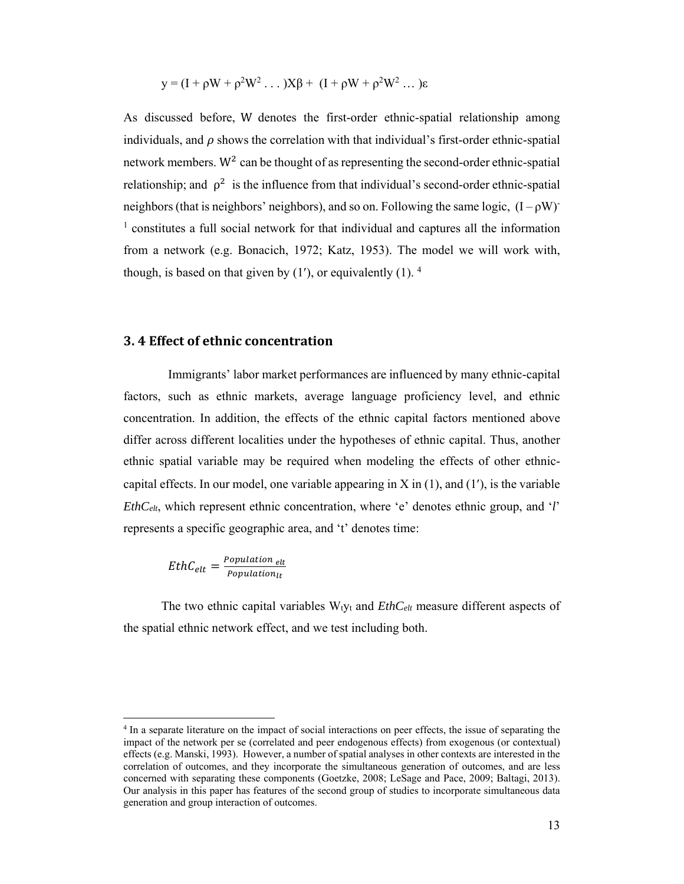$$
y = (I + \rho W + \rho^2 W^2 \dots) X\beta + (I + \rho W + \rho^2 W^2 \dots) \varepsilon
$$

As discussed before, W denotes the first-order ethnic-spatial relationship among individuals, and  $\rho$  shows the correlation with that individual's first-order ethnic-spatial network members.  $W^2$  can be thought of as representing the second-order ethnic-spatial relationship; and  $\rho^2$  is the influence from that individual's second-order ethnic-spatial neighbors (that is neighbors' neighbors), and so on. Following the same logic,  $(I - \rho W)^{-}$ <sup>1</sup> constitutes a full social network for that individual and captures all the information from a network (e.g. Bonacich, 1972; Katz, 1953). The model we will work with, though, is based on that given by  $(1')$ , or equivalently  $(1)$ . <sup>4</sup>

#### **3. 4 Effect of ethnic concentration**

Immigrants' labor market performances are influenced by many ethnic-capital factors, such as ethnic markets, average language proficiency level, and ethnic concentration. In addition, the effects of the ethnic capital factors mentioned above differ across different localities under the hypotheses of ethnic capital. Thus, another ethnic spatial variable may be required when modeling the effects of other ethniccapital effects. In our model, one variable appearing in  $X$  in  $(1)$ , and  $(1')$ , is the variable *EthCelt*, which represent ethnic concentration, where 'e' denotes ethnic group, and '*l*' represents a specific geographic area, and 't' denotes time:

$$
EthC_{elt} = \frac{Population_{elt}}{Population_{lt}}
$$

 $\overline{a}$ 

The two ethnic capital variables W<sub>tyt</sub> and *EthC<sub>elt</sub>* measure different aspects of the spatial ethnic network effect, and we test including both.

<sup>4</sup> In a separate literature on the impact of social interactions on peer effects, the issue of separating the impact of the network per se (correlated and peer endogenous effects) from exogenous (or contextual) effects (e.g. Manski, 1993). However, a number of spatial analyses in other contexts are interested in the correlation of outcomes, and they incorporate the simultaneous generation of outcomes, and are less concerned with separating these components (Goetzke, 2008; LeSage and Pace, 2009; Baltagi, 2013). Our analysis in this paper has features of the second group of studies to incorporate simultaneous data generation and group interaction of outcomes.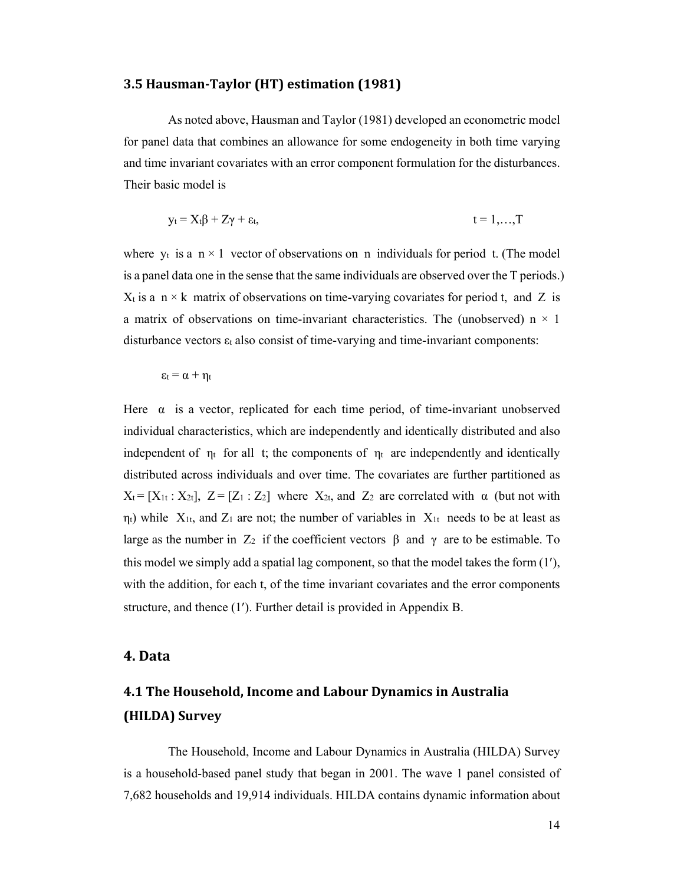#### **3.5 Hausman‐Taylor (HT) estimation (1981)**

As noted above, Hausman and Taylor (1981) developed an econometric model for panel data that combines an allowance for some endogeneity in both time varying and time invariant covariates with an error component formulation for the disturbances. Their basic model is

$$
y_t = X_t \beta + Z \gamma + \varepsilon_t, \qquad t = 1,...,T
$$

where  $y_t$  is a  $n \times 1$  vector of observations on n individuals for period t. (The model is a panel data one in the sense that the same individuals are observed over the T periods.)  $X_t$  is a n  $\times$  k matrix of observations on time-varying covariates for period t, and Z is a matrix of observations on time-invariant characteristics. The (unobserved)  $n \times 1$ disturbance vectors εt also consist of time-varying and time-invariant components:

 $\epsilon_t = \alpha + \eta_t$ 

Here  $\alpha$  is a vector, replicated for each time period, of time-invariant unobserved individual characteristics, which are independently and identically distributed and also independent of  $\eta_t$  for all t; the components of  $\eta_t$  are independently and identically distributed across individuals and over time. The covariates are further partitioned as  $X_t = [X_{1t} : X_{2t}], Z = [Z_1 : Z_2]$  where  $X_{2t}$ , and  $Z_2$  are correlated with  $\alpha$  (but not with  $\eta_t$ ) while  $X_{1t}$ , and  $Z_1$  are not; the number of variables in  $X_{1t}$  needs to be at least as large as the number in  $Z_2$  if the coefficient vectors β and γ are to be estimable. To this model we simply add a spatial lag component, so that the model takes the form  $(1')$ , with the addition, for each t, of the time invariant covariates and the error components structure, and thence (1). Further detail is provided in Appendix B.

#### **4. Data**

# **4.1 The Household, Income and Labour Dynamics in Australia (HILDA) Survey**

The Household, Income and Labour Dynamics in Australia (HILDA) Survey is a household-based panel study that began in 2001. The wave 1 panel consisted of 7,682 households and 19,914 individuals. HILDA contains dynamic information about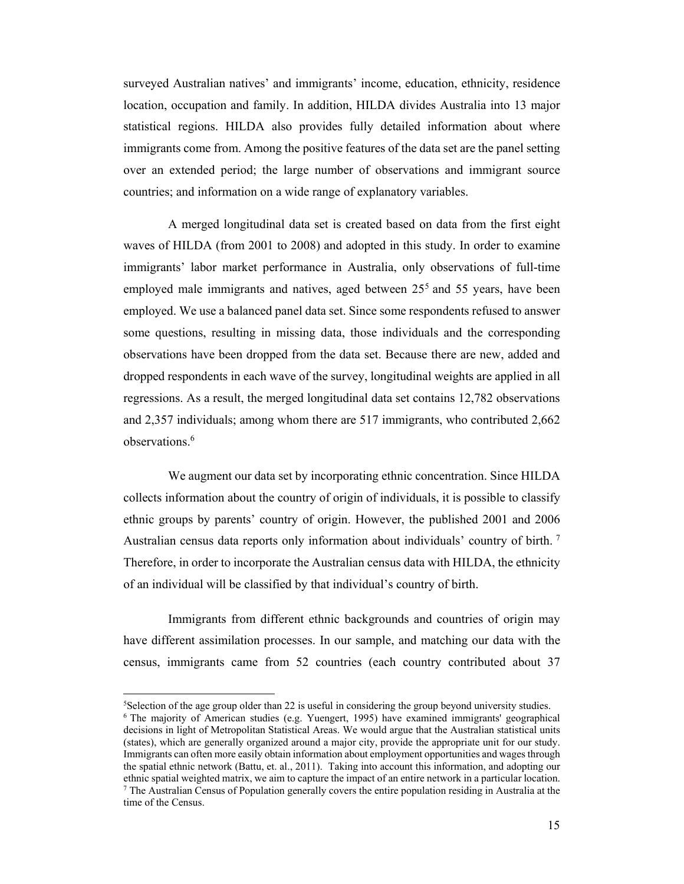surveyed Australian natives' and immigrants' income, education, ethnicity, residence location, occupation and family. In addition, HILDA divides Australia into 13 major statistical regions. HILDA also provides fully detailed information about where immigrants come from. Among the positive features of the data set are the panel setting over an extended period; the large number of observations and immigrant source countries; and information on a wide range of explanatory variables.

A merged longitudinal data set is created based on data from the first eight waves of HILDA (from 2001 to 2008) and adopted in this study. In order to examine immigrants' labor market performance in Australia, only observations of full-time employed male immigrants and natives, aged between 25<sup>5</sup> and 55 years, have been employed. We use a balanced panel data set. Since some respondents refused to answer some questions, resulting in missing data, those individuals and the corresponding observations have been dropped from the data set. Because there are new, added and dropped respondents in each wave of the survey, longitudinal weights are applied in all regressions. As a result, the merged longitudinal data set contains 12,782 observations and 2,357 individuals; among whom there are 517 immigrants, who contributed 2,662 observations.6

We augment our data set by incorporating ethnic concentration. Since HILDA collects information about the country of origin of individuals, it is possible to classify ethnic groups by parents' country of origin. However, the published 2001 and 2006 Australian census data reports only information about individuals' country of birth. 7 Therefore, in order to incorporate the Australian census data with HILDA, the ethnicity of an individual will be classified by that individual's country of birth.

Immigrants from different ethnic backgrounds and countries of origin may have different assimilation processes. In our sample, and matching our data with the census, immigrants came from 52 countries (each country contributed about 37

 $\overline{a}$ 

<sup>5</sup> Selection of the age group older than 22 is useful in considering the group beyond university studies. <sup>6</sup> The majority of American studies (e.g. Yuengert, 1995) have examined immigrants' geographical decisions in light of Metropolitan Statistical Areas. We would argue that the Australian statistical units (states), which are generally organized around a major city, provide the appropriate unit for our study. Immigrants can often more easily obtain information about employment opportunities and wages through the spatial ethnic network (Battu, et. al., 2011). Taking into account this information, and adopting our ethnic spatial weighted matrix, we aim to capture the impact of an entire network in a particular location. <sup>7</sup> The Australian Census of Population generally covers the entire population residing in Australia at the time of the Census.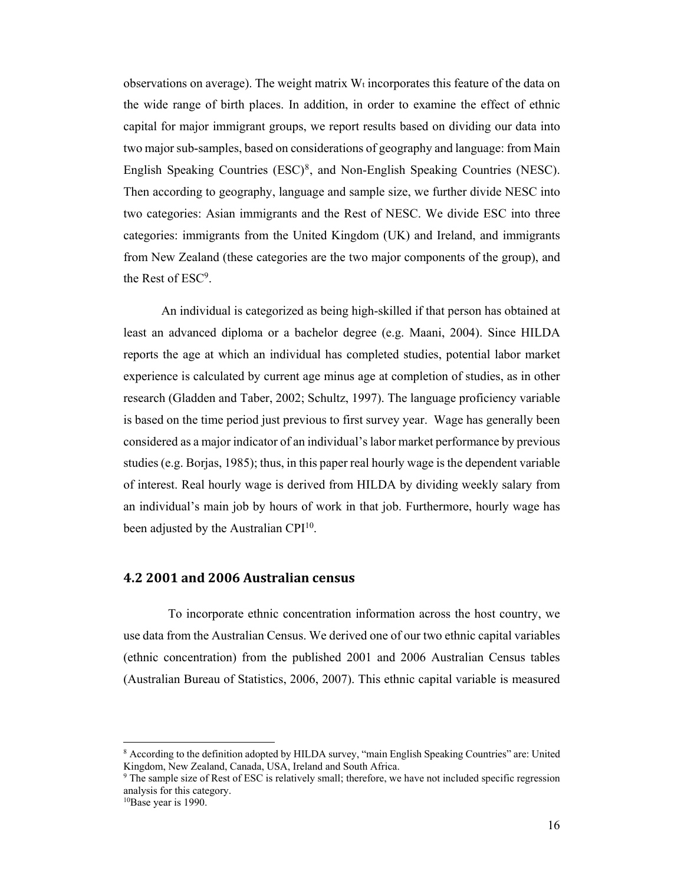observations on average). The weight matrix  $W_t$  incorporates this feature of the data on the wide range of birth places. In addition, in order to examine the effect of ethnic capital for major immigrant groups, we report results based on dividing our data into two major sub-samples, based on considerations of geography and language: from Main English Speaking Countries (ESC)8, and Non-English Speaking Countries (NESC). Then according to geography, language and sample size, we further divide NESC into two categories: Asian immigrants and the Rest of NESC. We divide ESC into three categories: immigrants from the United Kingdom (UK) and Ireland, and immigrants from New Zealand (these categories are the two major components of the group), and the Rest of ESC9.

An individual is categorized as being high-skilled if that person has obtained at least an advanced diploma or a bachelor degree (e.g. Maani, 2004). Since HILDA reports the age at which an individual has completed studies, potential labor market experience is calculated by current age minus age at completion of studies, as in other research (Gladden and Taber, 2002; Schultz, 1997). The language proficiency variable is based on the time period just previous to first survey year. Wage has generally been considered as a major indicator of an individual's labor market performance by previous studies (e.g. Borjas, 1985); thus, in this paper real hourly wage is the dependent variable of interest. Real hourly wage is derived from HILDA by dividing weekly salary from an individual's main job by hours of work in that job. Furthermore, hourly wage has been adjusted by the Australian CPI<sup>10</sup>.

#### **4.2 2001 and 2006 Australian census**

To incorporate ethnic concentration information across the host country, we use data from the Australian Census. We derived one of our two ethnic capital variables (ethnic concentration) from the published 2001 and 2006 Australian Census tables (Australian Bureau of Statistics, 2006, 2007). This ethnic capital variable is measured

 $\overline{a}$ 

<sup>&</sup>lt;sup>8</sup> According to the definition adopted by HILDA survey, "main English Speaking Countries" are: United Kingdom, New Zealand, Canada, USA, Ireland and South Africa.

<sup>&</sup>lt;sup>9</sup> The sample size of Rest of ESC is relatively small; therefore, we have not included specific regression analysis for this category.

<sup>10</sup>Base year is 1990.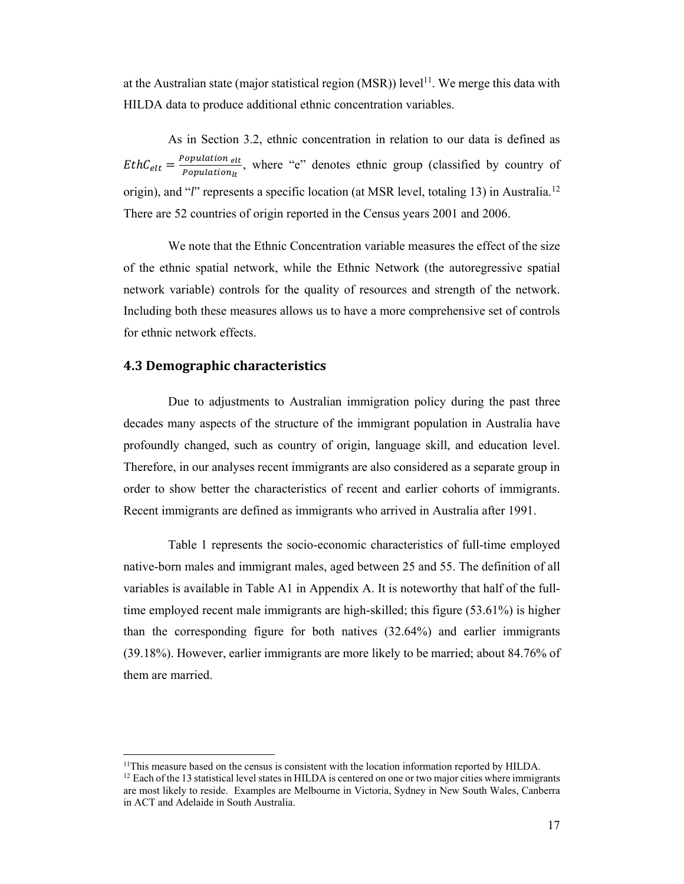at the Australian state (major statistical region  $(MSR)$ ) level<sup>11</sup>. We merge this data with HILDA data to produce additional ethnic concentration variables.

As in Section 3.2, ethnic concentration in relation to our data is defined as  $EthC_{elt} = \frac{Population_{elt}}{Population_{lt}}$ , where "e" denotes ethnic group (classified by country of origin), and "*l*" represents a specific location (at MSR level, totaling 13) in Australia.<sup>12</sup> There are 52 countries of origin reported in the Census years 2001 and 2006.

We note that the Ethnic Concentration variable measures the effect of the size of the ethnic spatial network, while the Ethnic Network (the autoregressive spatial network variable) controls for the quality of resources and strength of the network. Including both these measures allows us to have a more comprehensive set of controls for ethnic network effects.

#### **4.3 Demographic characteristics**

 $\overline{a}$ 

Due to adjustments to Australian immigration policy during the past three decades many aspects of the structure of the immigrant population in Australia have profoundly changed, such as country of origin, language skill, and education level. Therefore, in our analyses recent immigrants are also considered as a separate group in order to show better the characteristics of recent and earlier cohorts of immigrants. Recent immigrants are defined as immigrants who arrived in Australia after 1991.

Table 1 represents the socio-economic characteristics of full-time employed native-born males and immigrant males, aged between 25 and 55. The definition of all variables is available in Table A1 in Appendix A. It is noteworthy that half of the fulltime employed recent male immigrants are high-skilled; this figure (53.61%) is higher than the corresponding figure for both natives (32.64%) and earlier immigrants (39.18%). However, earlier immigrants are more likely to be married; about 84.76% of them are married.

<sup>&</sup>lt;sup>11</sup>This measure based on the census is consistent with the location information reported by HILDA.

 $12$  Each of the 13 statistical level states in HILDA is centered on one or two major cities where immigrants are most likely to reside. Examples are Melbourne in Victoria, Sydney in New South Wales, Canberra in ACT and Adelaide in South Australia.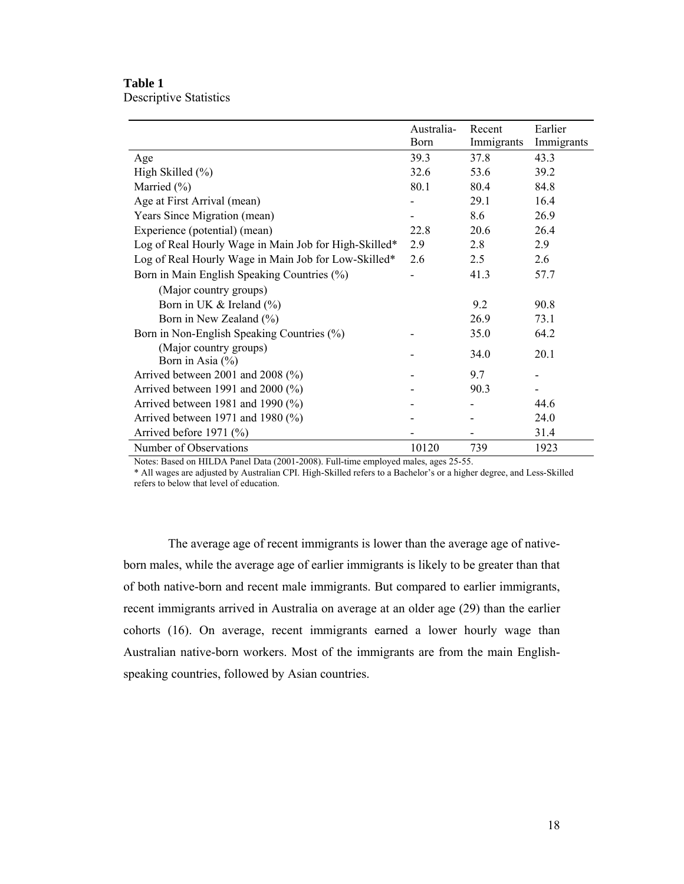#### **Table 1**  Descriptive Statistics

|                                                       | Australia-  | Recent     | Earlier    |
|-------------------------------------------------------|-------------|------------|------------|
|                                                       | <b>Born</b> | Immigrants | Immigrants |
| Age                                                   | 39.3        | 37.8       | 43.3       |
| High Skilled (%)                                      | 32.6        | 53.6       | 39.2       |
| Married (%)                                           | 80.1        | 80.4       | 84.8       |
| Age at First Arrival (mean)                           |             | 29.1       | 16.4       |
| Years Since Migration (mean)                          |             | 8.6        | 26.9       |
| Experience (potential) (mean)                         | 22.8        | 20.6       | 26.4       |
| Log of Real Hourly Wage in Main Job for High-Skilled* | 2.9         | 2.8        | 2.9        |
| Log of Real Hourly Wage in Main Job for Low-Skilled*  | 2.6         | 2.5        | 2.6        |
| Born in Main English Speaking Countries (%)           |             | 41.3       | 57.7       |
| (Major country groups)                                |             |            |            |
| Born in UK $&$ Ireland $\left(\frac{9}{0}\right)$     |             | 9.2        | 90.8       |
| Born in New Zealand (%)                               |             | 26.9       | 73.1       |
| Born in Non-English Speaking Countries (%)            |             | 35.0       | 64.2       |
| (Major country groups)                                |             | 34.0       | 20.1       |
| Born in Asia $(\% )$                                  |             |            |            |
| Arrived between 2001 and 2008 (%)                     |             | 9.7        |            |
| Arrived between 1991 and 2000 $(\%)$                  |             | 90.3       |            |
| Arrived between 1981 and 1990 $(\% )$                 |             |            | 44.6       |
| Arrived between 1971 and 1980 $(\%)$                  |             |            | 24.0       |
| Arrived before $1971$ (%)                             |             |            | 31.4       |
| Number of Observations                                | 10120       | 739        | 1923       |

Notes: Based on HILDA Panel Data (2001-2008). Full-time employed males, ages 25-55.

\* All wages are adjusted by Australian CPI. High-Skilled refers to a Bachelor's or a higher degree, and Less-Skilled refers to below that level of education.

The average age of recent immigrants is lower than the average age of nativeborn males, while the average age of earlier immigrants is likely to be greater than that of both native-born and recent male immigrants. But compared to earlier immigrants, recent immigrants arrived in Australia on average at an older age (29) than the earlier cohorts (16). On average, recent immigrants earned a lower hourly wage than Australian native-born workers. Most of the immigrants are from the main Englishspeaking countries, followed by Asian countries.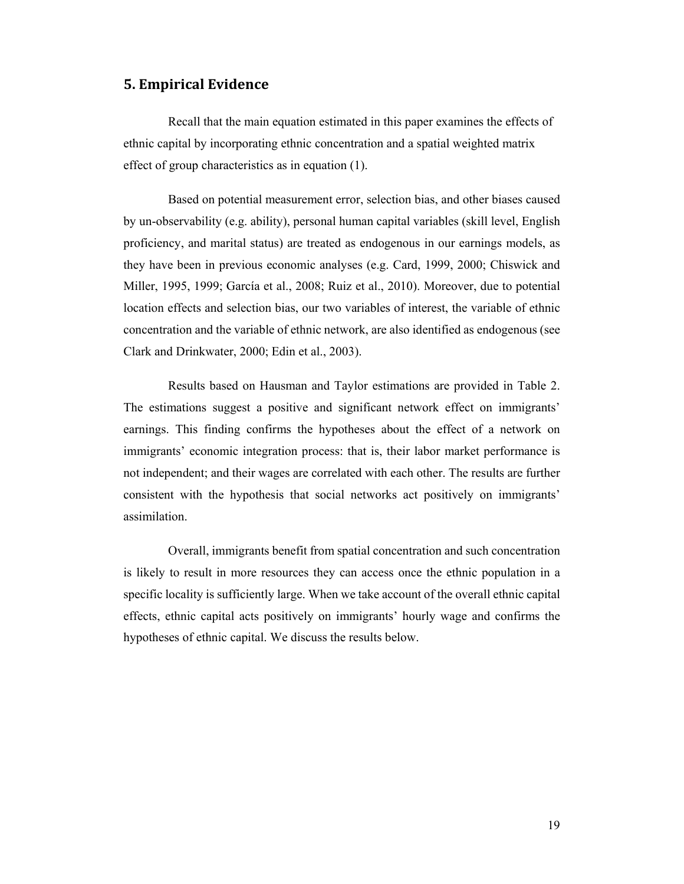#### **5. Empirical Evidence**

Recall that the main equation estimated in this paper examines the effects of ethnic capital by incorporating ethnic concentration and a spatial weighted matrix effect of group characteristics as in equation (1).

Based on potential measurement error, selection bias, and other biases caused by un-observability (e.g. ability), personal human capital variables (skill level, English proficiency, and marital status) are treated as endogenous in our earnings models, as they have been in previous economic analyses (e.g. Card, 1999, 2000; Chiswick and Miller, 1995, 1999; García et al., 2008; Ruiz et al., 2010). Moreover, due to potential location effects and selection bias, our two variables of interest, the variable of ethnic concentration and the variable of ethnic network, are also identified as endogenous (see Clark and Drinkwater, 2000; Edin et al., 2003).

Results based on Hausman and Taylor estimations are provided in Table 2. The estimations suggest a positive and significant network effect on immigrants' earnings. This finding confirms the hypotheses about the effect of a network on immigrants' economic integration process: that is, their labor market performance is not independent; and their wages are correlated with each other. The results are further consistent with the hypothesis that social networks act positively on immigrants' assimilation.

Overall, immigrants benefit from spatial concentration and such concentration is likely to result in more resources they can access once the ethnic population in a specific locality is sufficiently large. When we take account of the overall ethnic capital effects, ethnic capital acts positively on immigrants' hourly wage and confirms the hypotheses of ethnic capital. We discuss the results below.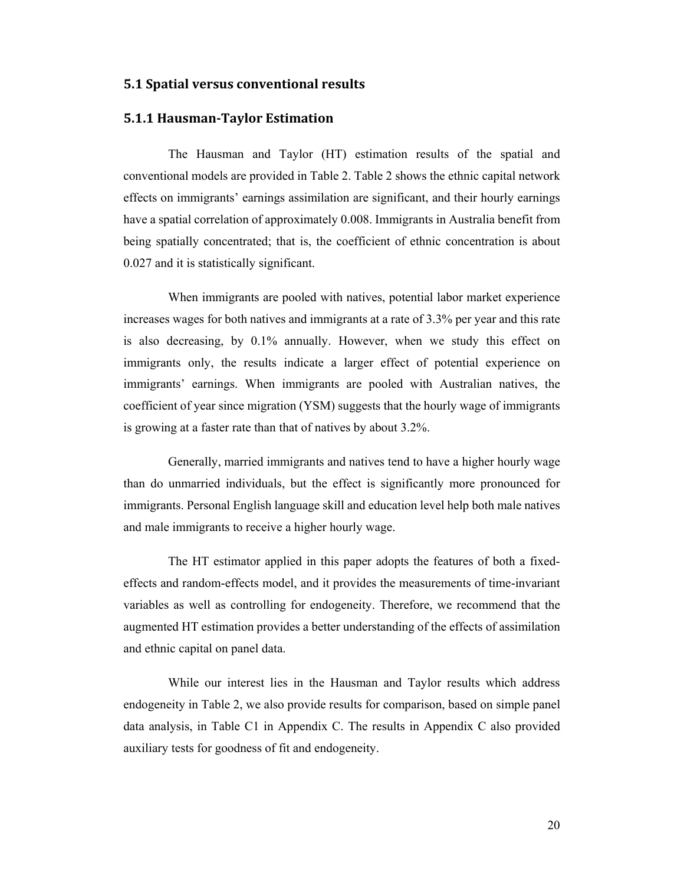#### **5.1 Spatial versus conventional results**

#### **5.1.1 Hausman‐Taylor Estimation**

The Hausman and Taylor (HT) estimation results of the spatial and conventional models are provided in Table 2. Table 2 shows the ethnic capital network effects on immigrants' earnings assimilation are significant, and their hourly earnings have a spatial correlation of approximately 0.008. Immigrants in Australia benefit from being spatially concentrated; that is, the coefficient of ethnic concentration is about 0.027 and it is statistically significant.

When immigrants are pooled with natives, potential labor market experience increases wages for both natives and immigrants at a rate of 3.3% per year and this rate is also decreasing, by 0.1% annually. However, when we study this effect on immigrants only, the results indicate a larger effect of potential experience on immigrants' earnings. When immigrants are pooled with Australian natives, the coefficient of year since migration (YSM) suggests that the hourly wage of immigrants is growing at a faster rate than that of natives by about 3.2%.

Generally, married immigrants and natives tend to have a higher hourly wage than do unmarried individuals, but the effect is significantly more pronounced for immigrants. Personal English language skill and education level help both male natives and male immigrants to receive a higher hourly wage.

The HT estimator applied in this paper adopts the features of both a fixedeffects and random-effects model, and it provides the measurements of time-invariant variables as well as controlling for endogeneity. Therefore, we recommend that the augmented HT estimation provides a better understanding of the effects of assimilation and ethnic capital on panel data.

While our interest lies in the Hausman and Taylor results which address endogeneity in Table 2, we also provide results for comparison, based on simple panel data analysis, in Table C1 in Appendix C. The results in Appendix C also provided auxiliary tests for goodness of fit and endogeneity.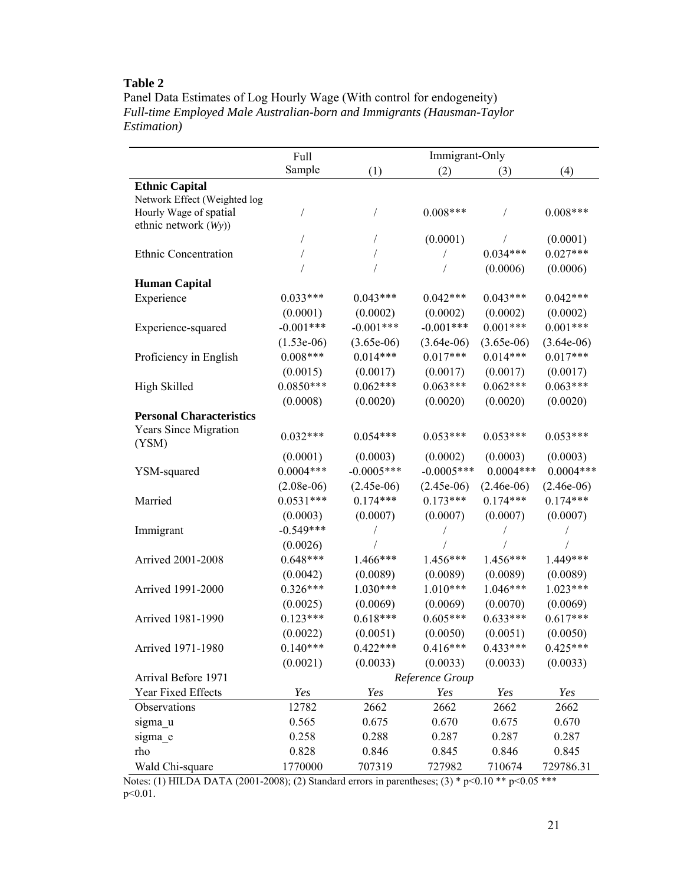## **Table 2**

Panel Data Estimates of Log Hourly Wage (With control for endogeneity) *Full-time Employed Male Australian-born and Immigrants (Hausman-Taylor Estimation)* 

|                                       | Full         | Immigrant-Only |                 |              |              |
|---------------------------------------|--------------|----------------|-----------------|--------------|--------------|
|                                       | Sample       | (1)            | (2)             | (3)          | (4)          |
| <b>Ethnic Capital</b>                 |              |                |                 |              |              |
| Network Effect (Weighted log          |              |                |                 |              |              |
| Hourly Wage of spatial                |              | 7              | $0.008***$      |              | $0.008***$   |
| ethnic network $(Wy)$ )               |              |                |                 |              |              |
|                                       |              |                | (0.0001)        |              | (0.0001)     |
| Ethnic Concentration                  |              |                |                 | $0.034***$   | $0.027***$   |
|                                       |              |                |                 | (0.0006)     | (0.0006)     |
| <b>Human Capital</b>                  |              |                |                 |              |              |
| Experience                            | $0.033***$   | $0.043***$     | $0.042***$      | $0.043***$   | $0.042***$   |
|                                       | (0.0001)     | (0.0002)       | (0.0002)        | (0.0002)     | (0.0002)     |
| Experience-squared                    | $-0.001***$  | $-0.001$ ***   | $-0.001***$     | $0.001***$   | $0.001***$   |
|                                       | $(1.53e-06)$ | $(3.65e-06)$   | $(3.64e-06)$    | $(3.65e-06)$ | $(3.64e-06)$ |
| Proficiency in English                | $0.008***$   | $0.014***$     | $0.017***$      | $0.014***$   | $0.017***$   |
|                                       | (0.0015)     | (0.0017)       | (0.0017)        | (0.0017)     | (0.0017)     |
| High Skilled                          | $0.0850***$  | $0.062***$     | $0.063***$      | $0.062***$   | $0.063***$   |
|                                       | (0.0008)     | (0.0020)       | (0.0020)        | (0.0020)     | (0.0020)     |
| <b>Personal Characteristics</b>       |              |                |                 |              |              |
| <b>Years Since Migration</b><br>(YSM) | $0.032***$   | $0.054***$     | $0.053***$      | $0.053***$   | $0.053***$   |
|                                       | (0.0001)     | (0.0003)       | (0.0002)        | (0.0003)     | (0.0003)     |
| YSM-squared                           | $0.0004***$  | $-0.0005***$   | $-0.0005***$    | $0.0004***$  | $0.0004***$  |
|                                       | $(2.08e-06)$ | $(2.45e-06)$   | $(2.45e-06)$    | $(2.46e-06)$ | $(2.46e-06)$ |
| Married                               | $0.0531***$  | $0.174***$     | $0.173***$      | $0.174***$   | $0.174***$   |
|                                       | (0.0003)     | (0.0007)       | (0.0007)        | (0.0007)     | (0.0007)     |
| Immigrant                             | $-0.549***$  |                |                 |              |              |
|                                       | (0.0026)     |                |                 |              |              |
| Arrived 2001-2008                     | $0.648***$   | 1.466***       | 1.456***        | $1.456***$   | 1.449***     |
|                                       | (0.0042)     | (0.0089)       | (0.0089)        | (0.0089)     | (0.0089)     |
| Arrived 1991-2000                     | $0.326***$   | 1.030***       | $1.010***$      | 1.046***     | 1.023***     |
|                                       | (0.0025)     | (0.0069)       | (0.0069)        | (0.0070)     | (0.0069)     |
| Arrived 1981-1990                     | $0.123***$   | $0.618***$     | $0.605***$      | $0.633***$   | $0.617***$   |
|                                       | (0.0022)     | (0.0051)       | (0.0050)        | (0.0051)     | (0.0050)     |
| Arrived 1971-1980                     | $0.140***$   | $0.422***$     | $0.416***$      | $0.433***$   | $0.425***$   |
|                                       | (0.0021)     | (0.0033)       | (0.0033)        | (0.0033)     | (0.0033)     |
| Arrival Before 1971                   |              |                | Reference Group |              |              |
| Year Fixed Effects                    | Yes          | Yes            | Yes             | Yes          | Yes          |
| Observations                          | 12782        | 2662           | 2662            | 2662         | 2662         |
| sigma_u                               | 0.565        | 0.675          | 0.670           | 0.675        | 0.670        |
| sigma e                               | 0.258        | 0.288          | 0.287           | 0.287        | 0.287        |
| rho                                   | 0.828        | 0.846          | 0.845           | 0.846        | 0.845        |
| Wald Chi-square                       | 1770000      | 707319         | 727982          | 710674       | 729786.31    |

Notes: (1) HILDA DATA (2001-2008); (2) Standard errors in parentheses; (3) \* p<0.10 \*\* p<0.05 \*\*\* p<0.01.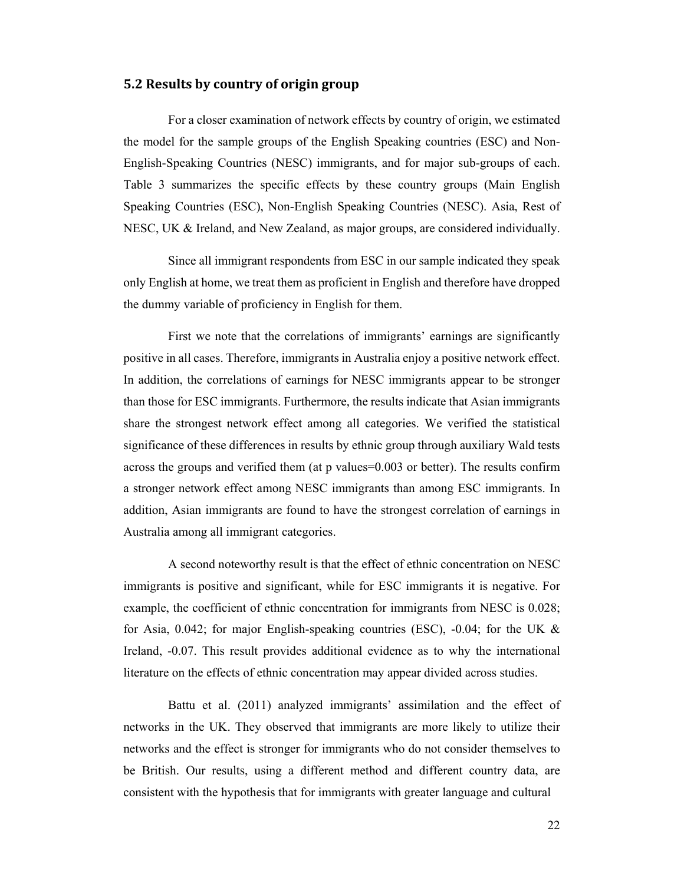#### **5.2 Results by country of origin group**

For a closer examination of network effects by country of origin, we estimated the model for the sample groups of the English Speaking countries (ESC) and Non-English-Speaking Countries (NESC) immigrants, and for major sub-groups of each. Table 3 summarizes the specific effects by these country groups (Main English Speaking Countries (ESC), Non-English Speaking Countries (NESC). Asia, Rest of NESC, UK & Ireland, and New Zealand, as major groups, are considered individually.

Since all immigrant respondents from ESC in our sample indicated they speak only English at home, we treat them as proficient in English and therefore have dropped the dummy variable of proficiency in English for them.

First we note that the correlations of immigrants' earnings are significantly positive in all cases. Therefore, immigrants in Australia enjoy a positive network effect. In addition, the correlations of earnings for NESC immigrants appear to be stronger than those for ESC immigrants. Furthermore, the results indicate that Asian immigrants share the strongest network effect among all categories. We verified the statistical significance of these differences in results by ethnic group through auxiliary Wald tests across the groups and verified them (at p values=0.003 or better). The results confirm a stronger network effect among NESC immigrants than among ESC immigrants. In addition, Asian immigrants are found to have the strongest correlation of earnings in Australia among all immigrant categories.

A second noteworthy result is that the effect of ethnic concentration on NESC immigrants is positive and significant, while for ESC immigrants it is negative. For example, the coefficient of ethnic concentration for immigrants from NESC is 0.028; for Asia, 0.042; for major English-speaking countries (ESC), -0.04; for the UK  $\&$ Ireland, -0.07. This result provides additional evidence as to why the international literature on the effects of ethnic concentration may appear divided across studies.

Battu et al. (2011) analyzed immigrants' assimilation and the effect of networks in the UK. They observed that immigrants are more likely to utilize their networks and the effect is stronger for immigrants who do not consider themselves to be British. Our results, using a different method and different country data, are consistent with the hypothesis that for immigrants with greater language and cultural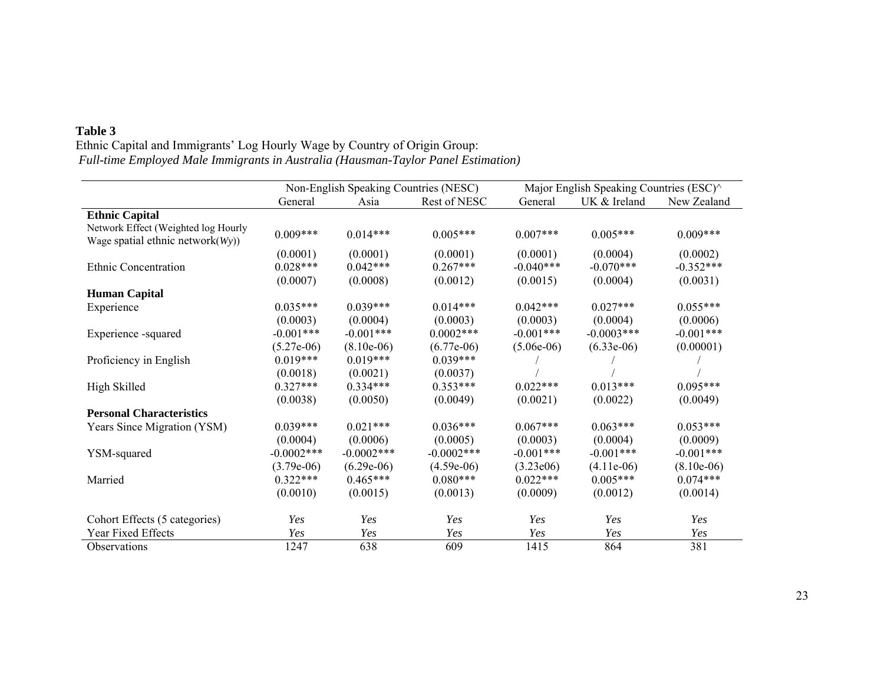## **Table 3**

 Ethnic Capital and Immigrants' Log Hourly Wage by Country of Origin Group:  *Full-time Employed Male Immigrants in Australia (Hausman-Taylor Panel Estimation)* 

|                                                                             | Non-English Speaking Countries (NESC) |               | Major English Speaking Countries (ESC)^ |              |              |              |
|-----------------------------------------------------------------------------|---------------------------------------|---------------|-----------------------------------------|--------------|--------------|--------------|
|                                                                             | General                               | Asia          | Rest of NESC                            | General      | UK & Ireland | New Zealand  |
| <b>Ethnic Capital</b>                                                       |                                       |               |                                         |              |              |              |
| Network Effect (Weighted log Hourly<br>Wage spatial ethnic network $(Wy)$ ) | $0.009***$                            | $0.014***$    | $0.005***$                              | $0.007***$   | $0.005***$   | $0.009***$   |
|                                                                             | (0.0001)                              | (0.0001)      | (0.0001)                                | (0.0001)     | (0.0004)     | (0.0002)     |
| Ethnic Concentration                                                        | $0.028***$                            | $0.042***$    | $0.267***$                              | $-0.040***$  | $-0.070***$  | $-0.352***$  |
|                                                                             | (0.0007)                              | (0.0008)      | (0.0012)                                | (0.0015)     | (0.0004)     | (0.0031)     |
| <b>Human Capital</b>                                                        |                                       |               |                                         |              |              |              |
| Experience                                                                  | $0.035***$                            | $0.039***$    | $0.014***$                              | $0.042***$   | $0.027***$   | $0.055***$   |
|                                                                             | (0.0003)                              | (0.0004)      | (0.0003)                                | (0.0003)     | (0.0004)     | (0.0006)     |
| Experience -squared                                                         | $-0.001***$                           | $-0.001***$   | $0.0002***$                             | $-0.001***$  | $-0.0003***$ | $-0.001***$  |
|                                                                             | $(5.27e-06)$                          | $(8.10e-06)$  | $(6.77e-06)$                            | $(5.06e-06)$ | $(6.33e-06)$ | (0.00001)    |
| Proficiency in English                                                      | $0.019***$                            | $0.019***$    | $0.039***$                              |              |              |              |
|                                                                             | (0.0018)                              | (0.0021)      | (0.0037)                                |              |              |              |
| High Skilled                                                                | $0.327***$                            | $0.334***$    | $0.353***$                              | $0.022***$   | $0.013***$   | $0.095***$   |
|                                                                             | (0.0038)                              | (0.0050)      | (0.0049)                                | (0.0021)     | (0.0022)     | (0.0049)     |
| <b>Personal Characteristics</b>                                             |                                       |               |                                         |              |              |              |
| Years Since Migration (YSM)                                                 | $0.039***$                            | $0.021***$    | $0.036***$                              | $0.067***$   | $0.063***$   | $0.053***$   |
|                                                                             | (0.0004)                              | (0.0006)      | (0.0005)                                | (0.0003)     | (0.0004)     | (0.0009)     |
| YSM-squared                                                                 | $-0.0002$ ***                         | $-0.0002$ *** | $-0.0002$ ***                           | $-0.001***$  | $-0.001***$  | $-0.001***$  |
|                                                                             | $(3.79e-06)$                          | $(6.29e-06)$  | $(4.59e-06)$                            | (3.23e06)    | $(4.11e-06)$ | $(8.10e-06)$ |
| Married                                                                     | $0.322***$                            | $0.465***$    | $0.080***$                              | $0.022***$   | $0.005***$   | $0.074***$   |
|                                                                             | (0.0010)                              | (0.0015)      | (0.0013)                                | (0.0009)     | (0.0012)     | (0.0014)     |
| Cohort Effects (5 categories)                                               | Yes                                   | Yes           | Yes                                     | Yes          | Yes          | Yes          |
| Year Fixed Effects                                                          | Yes                                   | Yes           | Yes                                     | Yes          | Yes          | Yes          |
| Observations                                                                | 1247                                  | 638           | 609                                     | 1415         | 864          | 381          |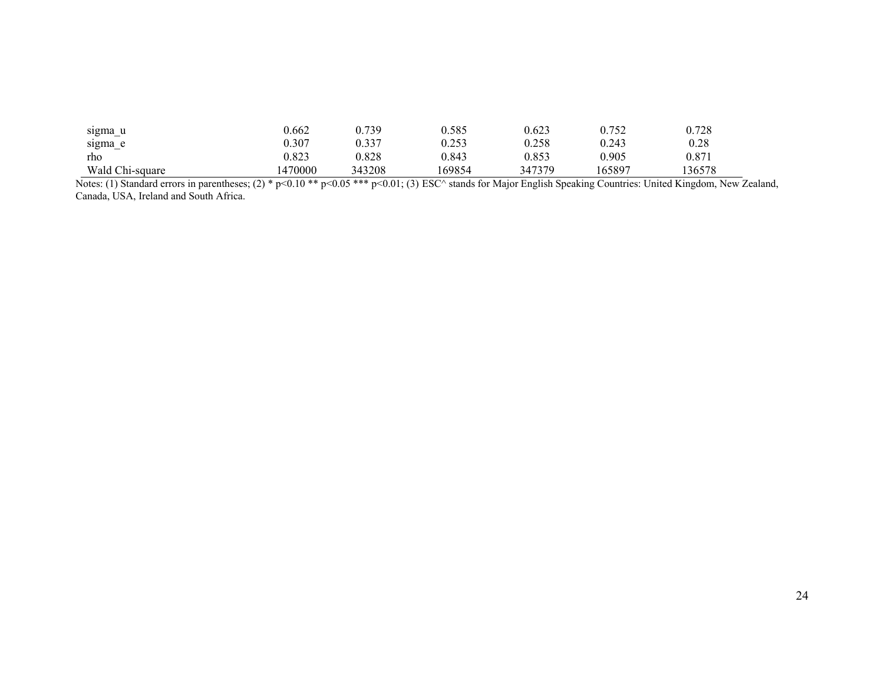| sigma u         | 0.662   | ).739  | 0.585  | 0.623  | 0.752  | 0.728 |
|-----------------|---------|--------|--------|--------|--------|-------|
| sigma e         | 0.307   | 0.337  | 0.253  | 0.258  | 0.243  | 0.28  |
| rho             | 0.823   | 0.828  | 0.843  | 0.853  | 0.905  | 0.871 |
| Wald Chi-square | 1470000 | 343208 | 169854 | 347379 | 165897 | 36578 |

Notes: (1) Standard errors in parentheses; (2) \* p<0.10 \*\* p<0.05 \*\*\* p<0.01; (3) ESC^ stands for Major English Speaking Countries: United Kingdom, New Zealand, Canada, USA, Ireland and South Africa.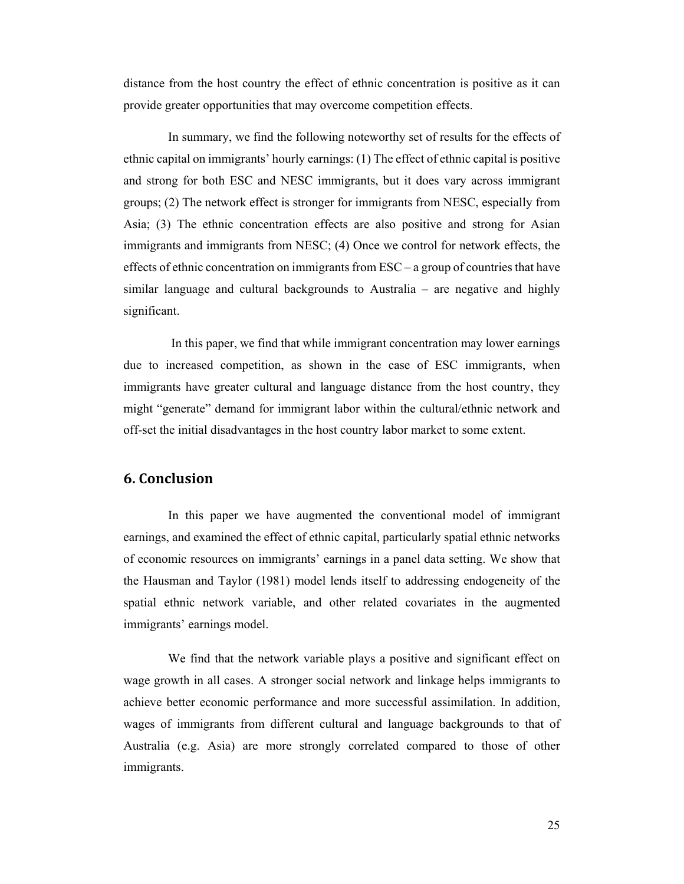distance from the host country the effect of ethnic concentration is positive as it can provide greater opportunities that may overcome competition effects.

In summary, we find the following noteworthy set of results for the effects of ethnic capital on immigrants' hourly earnings: (1) The effect of ethnic capital is positive and strong for both ESC and NESC immigrants, but it does vary across immigrant groups; (2) The network effect is stronger for immigrants from NESC, especially from Asia; (3) The ethnic concentration effects are also positive and strong for Asian immigrants and immigrants from NESC; (4) Once we control for network effects, the effects of ethnic concentration on immigrants from  $\text{ESC}-a$  group of countries that have similar language and cultural backgrounds to Australia – are negative and highly significant.

 In this paper, we find that while immigrant concentration may lower earnings due to increased competition, as shown in the case of ESC immigrants, when immigrants have greater cultural and language distance from the host country, they might "generate" demand for immigrant labor within the cultural/ethnic network and off-set the initial disadvantages in the host country labor market to some extent.

### **6. Conclusion**

In this paper we have augmented the conventional model of immigrant earnings, and examined the effect of ethnic capital, particularly spatial ethnic networks of economic resources on immigrants' earnings in a panel data setting. We show that the Hausman and Taylor (1981) model lends itself to addressing endogeneity of the spatial ethnic network variable, and other related covariates in the augmented immigrants' earnings model.

We find that the network variable plays a positive and significant effect on wage growth in all cases. A stronger social network and linkage helps immigrants to achieve better economic performance and more successful assimilation. In addition, wages of immigrants from different cultural and language backgrounds to that of Australia (e.g. Asia) are more strongly correlated compared to those of other immigrants.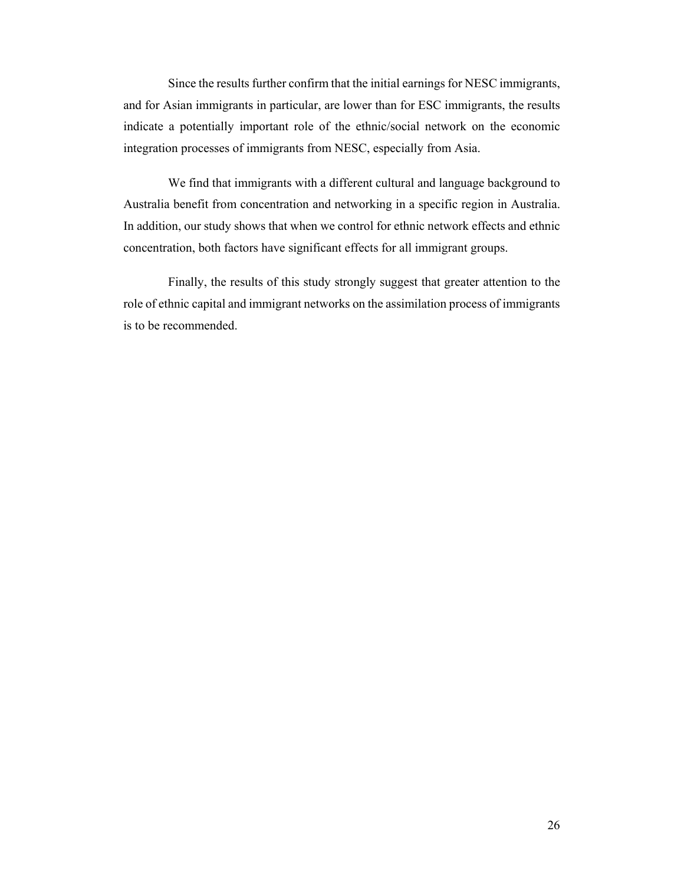Since the results further confirm that the initial earnings for NESC immigrants, and for Asian immigrants in particular, are lower than for ESC immigrants, the results indicate a potentially important role of the ethnic/social network on the economic integration processes of immigrants from NESC, especially from Asia.

We find that immigrants with a different cultural and language background to Australia benefit from concentration and networking in a specific region in Australia. In addition, our study shows that when we control for ethnic network effects and ethnic concentration, both factors have significant effects for all immigrant groups.

Finally, the results of this study strongly suggest that greater attention to the role of ethnic capital and immigrant networks on the assimilation process of immigrants is to be recommended.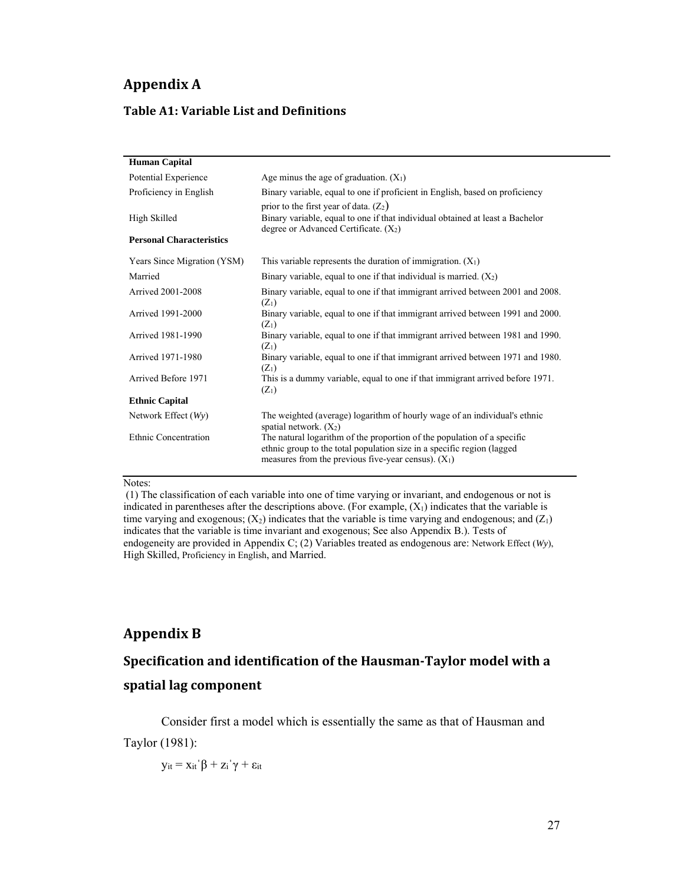# **Appendix A**

### **Table A1: Variable List and Definitions**

| <b>Human Capital</b>            |                                                                                                                                                                                                            |
|---------------------------------|------------------------------------------------------------------------------------------------------------------------------------------------------------------------------------------------------------|
| Potential Experience            | Age minus the age of graduation. $(X_1)$                                                                                                                                                                   |
| Proficiency in English          | Binary variable, equal to one if proficient in English, based on proficiency                                                                                                                               |
| High Skilled                    | prior to the first year of data. $(Z_2)$<br>Binary variable, equal to one if that individual obtained at least a Bachelor<br>degree or Advanced Certificate. $(X_2)$                                       |
| <b>Personal Characteristics</b> |                                                                                                                                                                                                            |
| Years Since Migration (YSM)     | This variable represents the duration of immigration. $(X_1)$                                                                                                                                              |
| Married                         | Binary variable, equal to one if that individual is married. $(X_2)$                                                                                                                                       |
| <b>Arrived 2001-2008</b>        | Binary variable, equal to one if that immigrant arrived between 2001 and 2008.<br>$(Z_1)$                                                                                                                  |
| Arrived 1991-2000               | Binary variable, equal to one if that immigrant arrived between 1991 and 2000.<br>$(Z_1)$                                                                                                                  |
| Arrived 1981-1990               | Binary variable, equal to one if that immigrant arrived between 1981 and 1990.<br>$(Z_1)$                                                                                                                  |
| Arrived 1971-1980               | Binary variable, equal to one if that immigrant arrived between 1971 and 1980.<br>$(Z_1)$                                                                                                                  |
| Arrived Before 1971             | This is a dummy variable, equal to one if that immigrant arrived before 1971.<br>$(Z_1)$                                                                                                                   |
| <b>Ethnic Capital</b>           |                                                                                                                                                                                                            |
| Network Effect $(Wy)$           | The weighted (average) logarithm of hourly wage of an individual's ethnic<br>spatial network. $(X_2)$                                                                                                      |
| <b>Ethnic Concentration</b>     | The natural logarithm of the proportion of the population of a specific<br>ethnic group to the total population size in a specific region (lagged<br>measures from the previous five-year census). $(X_1)$ |

#### Notes:

 (1) The classification of each variable into one of time varying or invariant, and endogenous or not is indicated in parentheses after the descriptions above. (For example,  $(X_1)$  indicates that the variable is time varying and exogenous;  $(X_2)$  indicates that the variable is time varying and endogenous; and  $(Z_1)$ indicates that the variable is time invariant and exogenous; See also Appendix B.). Tests of endogeneity are provided in Appendix C; (2) Variables treated as endogenous are: Network Effect (*Wy*), High Skilled, Proficiency in English, and Married.

# **Appendix B**

# **Specification and identification of the Hausman‐Taylor model with a**

### **spatial lag component**

Consider first a model which is essentially the same as that of Hausman and Taylor (1981):

 $y_{it} = x_{it}^{'}β + z_i^{'}γ + ε_{it}$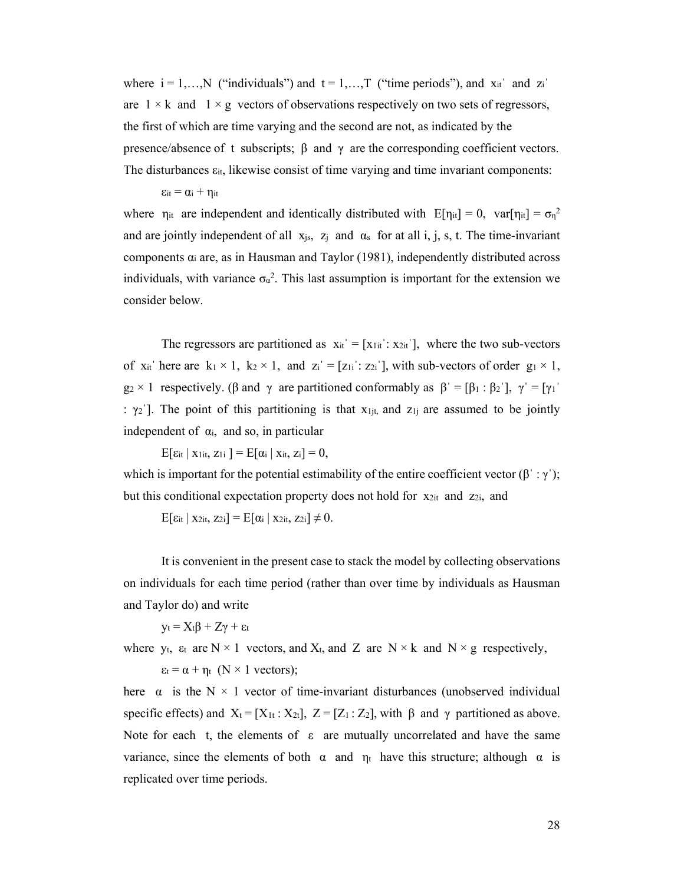where  $i = 1,...,N$  ("individuals") and  $t = 1,...,T$  ("time periods"), and  $x_{it}$  and  $z_i$ are  $1 \times k$  and  $1 \times g$  vectors of observations respectively on two sets of regressors, the first of which are time varying and the second are not, as indicated by the presence/absence of t subscripts; β and  $\gamma$  are the corresponding coefficient vectors. The disturbances  $\varepsilon_{it}$ , likewise consist of time varying and time invariant components:

 $\epsilon_{it} = \alpha_i + \eta_{it}$ 

where  $\eta_{it}$  are independent and identically distributed with  $E[\eta_{it}] = 0$ ,  $var[\eta_{it}] = \sigma_{\eta}^2$ and are jointly independent of all  $x_{js}$ ,  $z_j$  and  $\alpha_s$  for at all i, j, s, t. The time-invariant components αi are, as in Hausman and Taylor (1981), independently distributed across individuals, with variance  $\sigma_{\alpha}^2$ . This last assumption is important for the extension we consider below.

The regressors are partitioned as  $x_{it} = [x_{1it} : x_{2it}]$ , where the two sub-vectors of x<sub>it</sub> here are k<sub>1</sub> × 1, k<sub>2</sub> × 1, and z<sub>i</sub><sup> $'$ </sup> = [z<sub>1i</sub><sup> $\cdot$ </sup> : z<sub>2i</sub><sup> $\cdot$ </sup>], with sub-vectors of order g<sub>1</sub> × 1,  $g_2 \times 1$  respectively. (β and γ are partitioned conformably as  $\beta' = [\beta_1 : \beta_2']$ ,  $\gamma' = [\gamma_1'$ :  $\gamma_2$ ]. The point of this partitioning is that  $x_{1j}$  and  $z_{1j}$  are assumed to be jointly independent of  $\alpha_i$ , and so, in particular

 $E[\epsilon_{it} | X_{1it}, Z_{1i}] = E[\alpha_i | X_{it}, Z_i] = 0,$ 

which is important for the potential estimability of the entire coefficient vector  $(\beta : \gamma')$ ; but this conditional expectation property does not hold for  $x_{2it}$  and  $z_{2i}$ , and

 $E[\epsilon_{it} | X_{2it}, Z_{2i}] = E[\alpha_i | X_{2it}, Z_{2i}] \neq 0.$ 

It is convenient in the present case to stack the model by collecting observations on individuals for each time period (rather than over time by individuals as Hausman and Taylor do) and write

 $y_t = X_t\beta + Z\gamma + \varepsilon_t$ 

where y<sub>t</sub>,  $\varepsilon_t$  are N × 1 vectors, and X<sub>t</sub>, and Z are N × k and N × g respectively,  $\varepsilon_t = \alpha + \eta_t$  (N × 1 vectors);

here  $\alpha$  is the N  $\times$  1 vector of time-invariant disturbances (unobserved individual specific effects) and  $X_t = [X_{1t} : X_{2t}], Z = [Z_1 : Z_2],$  with  $\beta$  and  $\gamma$  partitioned as above. Note for each t, the elements of  $\varepsilon$  are mutually uncorrelated and have the same variance, since the elements of both  $\alpha$  and  $\eta_t$  have this structure; although  $\alpha$  is replicated over time periods.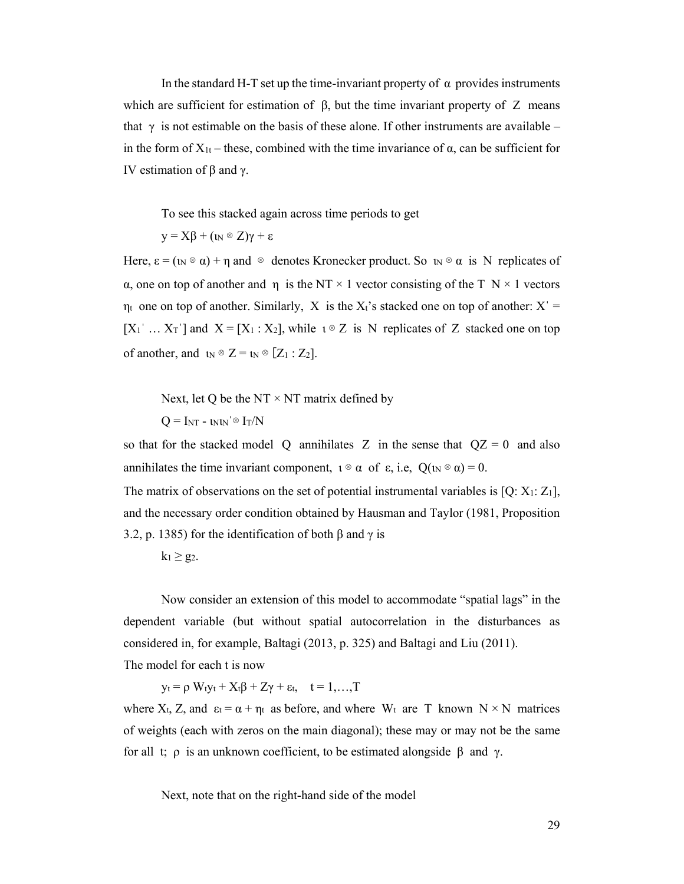In the standard H-T set up the time-invariant property of  $\alpha$  provides instruments which are sufficient for estimation of  $\beta$ , but the time invariant property of Z means that  $\gamma$  is not estimable on the basis of these alone. If other instruments are available – in the form of  $X_{1t}$  – these, combined with the time invariance of  $\alpha$ , can be sufficient for IV estimation of β and γ.

To see this stacked again across time periods to get

 $y = X\beta + (\iota_N \otimes Z)\gamma + \varepsilon$ 

Here,  $\varepsilon = (\omega \otimes \alpha) + \eta$  and  $\otimes$  denotes Kronecker product. So  $\omega \otimes \alpha$  is N replicates of α, one on top of another and η is the NT  $\times$  1 vector consisting of the T N  $\times$  1 vectors  $\eta_t$  one on top of another. Similarly, X is the X<sub>t</sub>'s stacked one on top of another: X<sup>'</sup> =  $[X_1' \dots X_T']$  and  $X = [X_1 : X_2]$ , while  $\iota \otimes Z$  is N replicates of Z stacked one on top of another, and  $\mathbf{u} \otimes \mathbf{Z} = \mathbf{u} \otimes [\mathbf{Z}_1 : \mathbf{Z}_2]$ .

Next, let Q be the NT  $\times$  NT matrix defined by

 $Q = I_{NT} - \nu_{N} \approx I_T/N$ 

so that for the stacked model Q annihilates Z in the sense that  $QZ = 0$  and also annihilates the time invariant component,  $\iota \otimes \alpha$  of  $\varepsilon$ , i.e,  $Q(\iota_N \otimes \alpha) = 0$ .

The matrix of observations on the set of potential instrumental variables is  $[Q: X_1: Z_1]$ , and the necessary order condition obtained by Hausman and Taylor (1981, Proposition 3.2, p. 1385) for the identification of both  $\beta$  and  $\gamma$  is

 $k_1 \geq g_2$ .

Now consider an extension of this model to accommodate "spatial lags" in the dependent variable (but without spatial autocorrelation in the disturbances as considered in, for example, Baltagi (2013, p. 325) and Baltagi and Liu (2011). The model for each t is now

 $y_t = \rho W_t y_t + X_t \beta + Z \gamma + \varepsilon_t$ ,  $t = 1,...,T$ 

where  $X_t$ , Z, and  $\varepsilon_t = \alpha + \eta_t$  as before, and where  $W_t$  are T known  $N \times N$  matrices of weights (each with zeros on the main diagonal); these may or may not be the same for all t; ρ is an unknown coefficient, to be estimated alongside β and γ.

Next, note that on the right-hand side of the model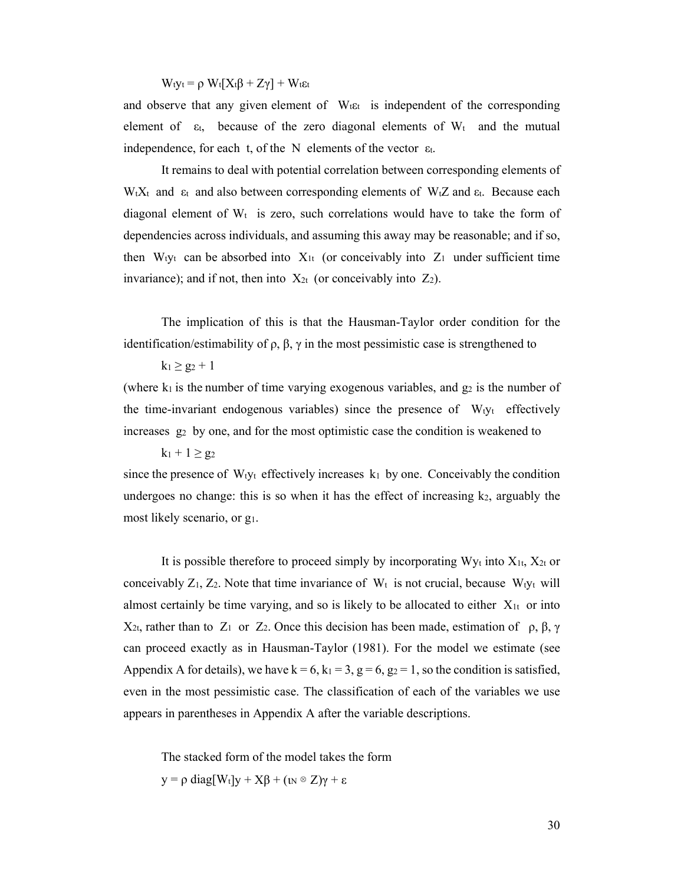$W_t v_t = \rho W_t [X_t \beta + Z \gamma] + W_t \varepsilon_t$ 

and observe that any given element of  $W_t \varepsilon_t$  is independent of the corresponding element of  $\varepsilon_t$ , because of the zero diagonal elements of  $W_t$  and the mutual independence, for each t, of the N elements of the vector  $\varepsilon$ t.

It remains to deal with potential correlation between corresponding elements of W<sub>tXt</sub> and  $\varepsilon_t$  and also between corresponding elements of W<sub>tZ</sub> and  $\varepsilon_t$ . Because each diagonal element of  $W_t$  is zero, such correlations would have to take the form of dependencies across individuals, and assuming this away may be reasonable; and if so, then  $W_t$ <sub>tyt</sub> can be absorbed into  $X_{1t}$  (or conceivably into  $Z_1$  under sufficient time invariance); and if not, then into  $X_{2t}$  (or conceivably into  $Z_2$ ).

The implication of this is that the Hausman-Taylor order condition for the identification/estimability of ρ, β, γ in the most pessimistic case is strengthened to

 $k_1 \ge g_2 + 1$ 

(where  $k_1$  is the number of time varying exogenous variables, and  $g_2$  is the number of the time-invariant endogenous variables) since the presence of  $W_t v_t$  effectively increases g2 by one, and for the most optimistic case the condition is weakened to

 $k_1 + 1 \ge g_2$ 

since the presence of  $W_t$ <sub>yt</sub> effectively increases  $k_1$  by one. Conceivably the condition undergoes no change: this is so when it has the effect of increasing  $k_2$ , arguably the most likely scenario, or g1.

It is possible therefore to proceed simply by incorporating  $W_{y}$  into  $X_{1t}$ ,  $X_{2t}$  or conceivably  $Z_1$ ,  $Z_2$ . Note that time invariance of  $W_t$  is not crucial, because  $W_t$ <sub>yt</sub> will almost certainly be time varying, and so is likely to be allocated to either  $X_{1t}$  or into X<sub>2t</sub>, rather than to Z<sub>1</sub> or Z<sub>2</sub>. Once this decision has been made, estimation of ρ, β, γ can proceed exactly as in Hausman-Taylor (1981). For the model we estimate (see Appendix A for details), we have  $k = 6$ ,  $k_1 = 3$ ,  $g = 6$ ,  $g_2 = 1$ , so the condition is satisfied, even in the most pessimistic case. The classification of each of the variables we use appears in parentheses in Appendix A after the variable descriptions.

The stacked form of the model takes the form

y = ρ diag[W<sub>t</sub>]y +  $X\beta$  + (ι<sub>N</sub>  $\otimes$  Z)γ + ε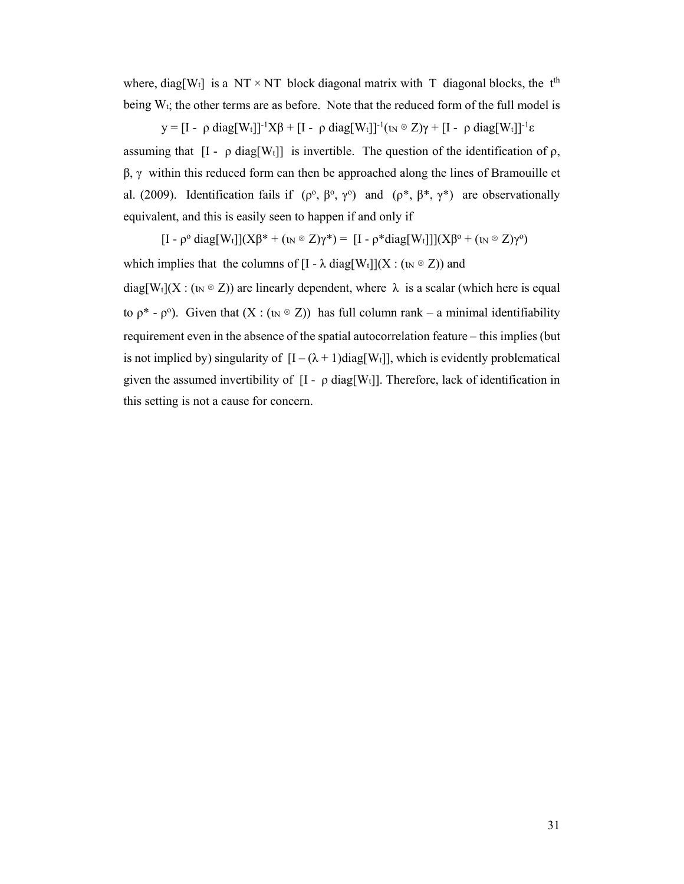where, diag[W<sub>t</sub>] is a NT  $\times$  NT block diagonal matrix with T diagonal blocks, the t<sup>th</sup> being  $W_t$ ; the other terms are as before. Note that the reduced form of the full model is

y = [I - ρ diag[Wt]]<sup>-1</sup>Xβ + [I - ρ diag[Wt]]<sup>-1</sup>(ι<sub>N</sub>  $\otimes$  Z) $\gamma$  + [I - ρ diag[Wt]]<sup>-1</sup>ε

assuming that  $[I - \rho \text{ diag}[W_t]]$  is invertible. The question of the identification of  $\rho$ ,  $β, γ$  within this reduced form can then be approached along the lines of Bramouille et al. (2009). Identification fails if  $(\rho^0, \beta^0, \gamma^0)$  and  $(\rho^*, \beta^*, \gamma^*)$  are observationally equivalent, and this is easily seen to happen if and only if

 $[I - \rho^{\circ} \text{diag}[W_t]](X\beta^* + (\iota_N \otimes Z)\gamma^*) = [I - \rho^* \text{diag}[W_t]]](X\beta^{\circ} + (\iota_N \otimes Z)\gamma^{\circ})$ 

which implies that the columns of  $[I - \lambda \text{diag}[W_t]](X : (I_N \otimes Z))$  and

diag[Wt](X : ( $\alpha \otimes Z$ )) are linearly dependent, where  $\lambda$  is a scalar (which here is equal to  $\rho^*$  -  $\rho^0$ ). Given that  $(X : (w \otimes Z))$  has full column rank – a minimal identifiability requirement even in the absence of the spatial autocorrelation feature – this implies (but is not implied by) singularity of  $[I - (\lambda + 1) \text{diag}[W_t]]$ , which is evidently problematical given the assumed invertibility of  $[I - \rho \text{ diag}[W_t]]$ . Therefore, lack of identification in this setting is not a cause for concern.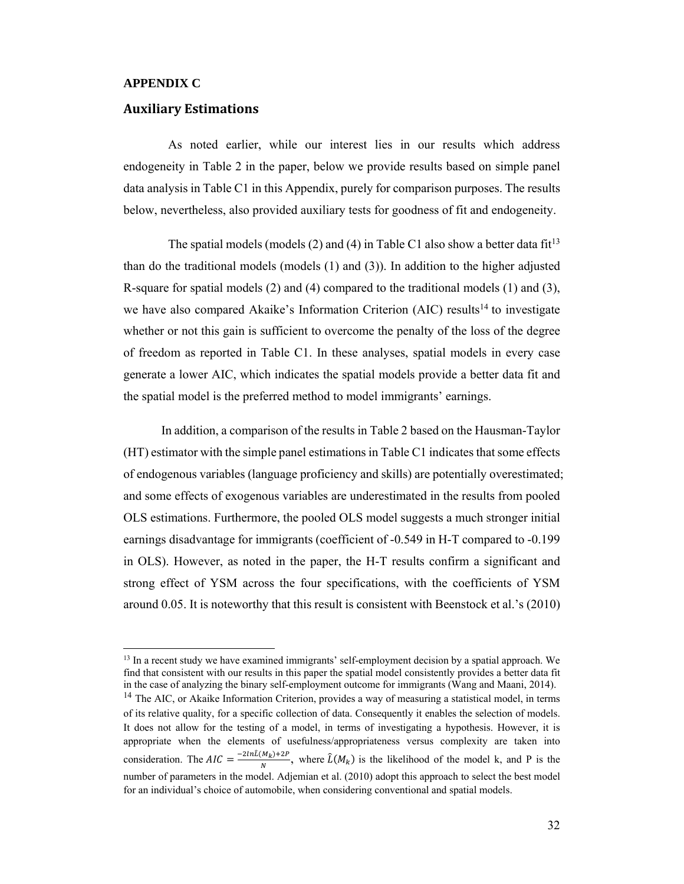#### **APPENDIX C**

 $\overline{a}$ 

#### **Auxiliary Estimations**

As noted earlier, while our interest lies in our results which address endogeneity in Table 2 in the paper, below we provide results based on simple panel data analysis in Table C1 in this Appendix, purely for comparison purposes. The results below, nevertheless, also provided auxiliary tests for goodness of fit and endogeneity.

The spatial models (models (2) and (4) in Table C1 also show a better data  $fit^{13}$ than do the traditional models (models (1) and (3)). In addition to the higher adjusted R-square for spatial models (2) and (4) compared to the traditional models (1) and (3), we have also compared Akaike's Information Criterion (AIC) results<sup>14</sup> to investigate whether or not this gain is sufficient to overcome the penalty of the loss of the degree of freedom as reported in Table C1. In these analyses, spatial models in every case generate a lower AIC, which indicates the spatial models provide a better data fit and the spatial model is the preferred method to model immigrants' earnings.

In addition, a comparison of the results in Table 2 based on the Hausman-Taylor (HT) estimator with the simple panel estimations in Table C1 indicates that some effects of endogenous variables (language proficiency and skills) are potentially overestimated; and some effects of exogenous variables are underestimated in the results from pooled OLS estimations. Furthermore, the pooled OLS model suggests a much stronger initial earnings disadvantage for immigrants (coefficient of -0.549 in H-T compared to -0.199 in OLS). However, as noted in the paper, the H-T results confirm a significant and strong effect of YSM across the four specifications, with the coefficients of YSM around 0.05. It is noteworthy that this result is consistent with Beenstock et al.'s (2010)

<sup>&</sup>lt;sup>13</sup> In a recent study we have examined immigrants' self-employment decision by a spatial approach. We find that consistent with our results in this paper the spatial model consistently provides a better data fit in the case of analyzing the binary self-employment outcome for immigrants (Wang and Maani, 2014).

<sup>&</sup>lt;sup>14</sup> The AIC, or Akaike Information Criterion, provides a way of measuring a statistical model, in terms of its relative quality, for a specific collection of data. Consequently it enables the selection of models. It does not allow for the testing of a model, in terms of investigating a hypothesis. However, it is appropriate when the elements of usefulness/appropriateness versus complexity are taken into consideration. The  $AIC = \frac{-2ln\hat{l}(M_R)+2P}{N}$ , where  $\hat{L}(M_R)$  is the likelihood of the model k, and P is the number of parameters in the model. Adjemian et al. (2010) adopt this approach to select the best model for an individual's choice of automobile, when considering conventional and spatial models.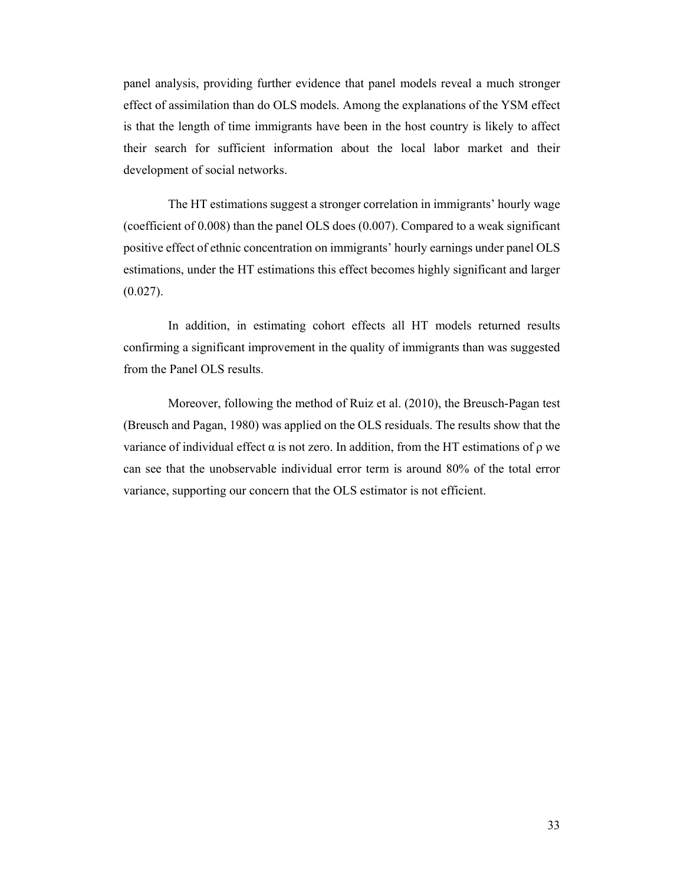panel analysis, providing further evidence that panel models reveal a much stronger effect of assimilation than do OLS models. Among the explanations of the YSM effect is that the length of time immigrants have been in the host country is likely to affect their search for sufficient information about the local labor market and their development of social networks.

The HT estimations suggest a stronger correlation in immigrants' hourly wage (coefficient of 0.008) than the panel OLS does (0.007). Compared to a weak significant positive effect of ethnic concentration on immigrants' hourly earnings under panel OLS estimations, under the HT estimations this effect becomes highly significant and larger  $(0.027)$ .

In addition, in estimating cohort effects all HT models returned results confirming a significant improvement in the quality of immigrants than was suggested from the Panel OLS results.

Moreover, following the method of Ruiz et al. (2010), the Breusch-Pagan test (Breusch and Pagan, 1980) was applied on the OLS residuals. The results show that the variance of individual effect  $\alpha$  is not zero. In addition, from the HT estimations of  $\rho$  we can see that the unobservable individual error term is around 80% of the total error variance, supporting our concern that the OLS estimator is not efficient.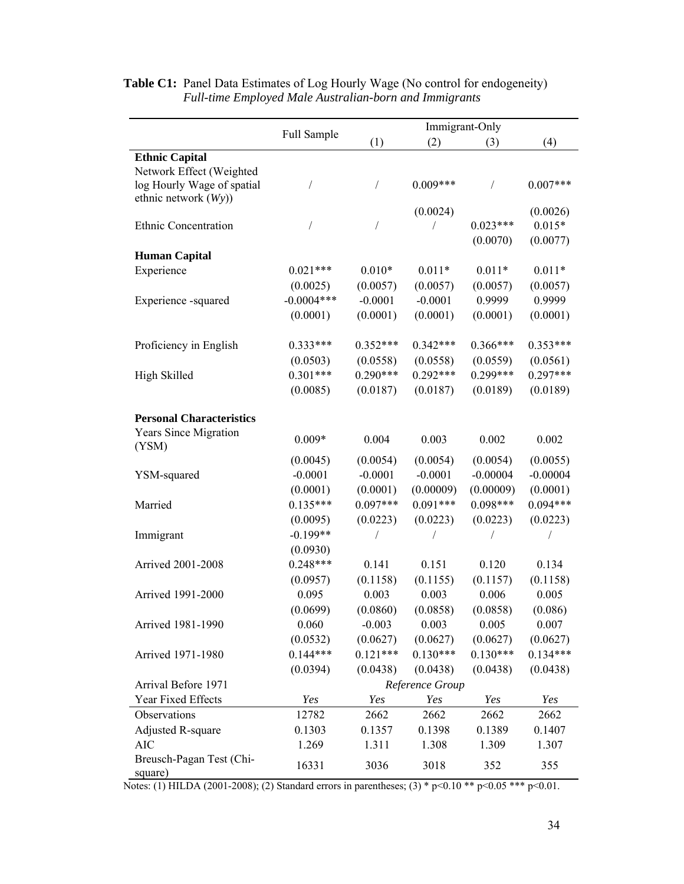|                                                                                |                 | Immigrant-Only |            |                        |                                  |  |
|--------------------------------------------------------------------------------|-----------------|----------------|------------|------------------------|----------------------------------|--|
|                                                                                | Full Sample     | (1)            | (2)        | (3)                    | (4)                              |  |
| <b>Ethnic Capital</b>                                                          |                 |                |            |                        |                                  |  |
| Network Effect (Weighted<br>log Hourly Wage of spatial<br>ethnic network (Wy)) |                 |                | $0.009***$ |                        | $0.007***$                       |  |
| Ethnic Concentration                                                           |                 |                | (0.0024)   | $0.023***$<br>(0.0070) | (0.0026)<br>$0.015*$<br>(0.0077) |  |
| <b>Human Capital</b>                                                           |                 |                |            |                        |                                  |  |
| Experience                                                                     | $0.021***$      | $0.010*$       | $0.011*$   | $0.011*$               | $0.011*$                         |  |
|                                                                                | (0.0025)        | (0.0057)       | (0.0057)   | (0.0057)               | (0.0057)                         |  |
| Experience -squared                                                            | $-0.0004***$    | $-0.0001$      | $-0.0001$  | 0.9999                 | 0.9999                           |  |
|                                                                                | (0.0001)        | (0.0001)       | (0.0001)   | (0.0001)               | (0.0001)                         |  |
|                                                                                |                 |                |            |                        |                                  |  |
| Proficiency in English                                                         | $0.333***$      | $0.352***$     | $0.342***$ | $0.366***$             | $0.353***$                       |  |
|                                                                                | (0.0503)        | (0.0558)       | (0.0558)   | (0.0559)               | (0.0561)                         |  |
| High Skilled                                                                   | $0.301***$      | $0.290***$     | $0.292***$ | $0.299***$             | $0.297***$                       |  |
|                                                                                | (0.0085)        | (0.0187)       | (0.0187)   | (0.0189)               | (0.0189)                         |  |
|                                                                                |                 |                |            |                        |                                  |  |
| <b>Personal Characteristics</b>                                                |                 |                |            |                        |                                  |  |
| <b>Years Since Migration</b><br>(YSM)                                          | $0.009*$        | 0.004          | 0.003      | 0.002                  | 0.002                            |  |
|                                                                                | (0.0045)        | (0.0054)       | (0.0054)   | (0.0054)               | (0.0055)                         |  |
| YSM-squared                                                                    | $-0.0001$       | $-0.0001$      | $-0.0001$  | $-0.00004$             | $-0.00004$                       |  |
|                                                                                | (0.0001)        | (0.0001)       | (0.00009)  | (0.00009)              | (0.0001)                         |  |
| Married                                                                        | $0.135***$      | $0.097***$     | $0.091***$ | $0.098***$             | $0.094***$                       |  |
|                                                                                | (0.0095)        | (0.0223)       | (0.0223)   | (0.0223)               | (0.0223)                         |  |
| Immigrant                                                                      | $-0.199**$      |                |            |                        |                                  |  |
|                                                                                | (0.0930)        |                |            |                        |                                  |  |
| Arrived 2001-2008                                                              | $0.248***$      | 0.141          | 0.151      | 0.120                  | 0.134                            |  |
|                                                                                | (0.0957)        | (0.1158)       | (0.1155)   | (0.1157)               | (0.1158)                         |  |
| Arrived 1991-2000                                                              | 0.095           | 0.003          | 0.003      | 0.006                  | 0.005                            |  |
|                                                                                | (0.0699)        | (0.0860)       | (0.0858)   | (0.0858)               | (0.086)                          |  |
| Arrived 1981-1990                                                              | 0.060           | $-0.003$       | 0.003      | 0.005                  | 0.007                            |  |
|                                                                                | (0.0532)        | (0.0627)       | (0.0627)   | (0.0627)               | (0.0627)                         |  |
| Arrived 1971-1980                                                              | $0.144***$      | $0.121***$     | $0.130***$ | $0.130***$             | $0.134***$                       |  |
|                                                                                | (0.0394)        | (0.0438)       | (0.0438)   | (0.0438)               | (0.0438)                         |  |
| Arrival Before 1971                                                            | Reference Group |                |            |                        |                                  |  |
| Year Fixed Effects                                                             | Yes             | Yes            | Yes        | Yes                    | Yes                              |  |
| Observations                                                                   | 12782           | 2662           | 2662       | 2662                   | 2662                             |  |
| <b>Adjusted R-square</b>                                                       | 0.1303          | 0.1357         | 0.1398     | 0.1389                 | 0.1407                           |  |
| <b>AIC</b>                                                                     | 1.269           | 1.311          | 1.308      | 1.309                  | 1.307                            |  |
| Breusch-Pagan Test (Chi-<br>square)                                            | 16331           | 3036           | 3018       | 352                    | 355                              |  |

## Table C1: Panel Data Estimates of Log Hourly Wage (No control for endogeneity)  *Full-time Employed Male Australian-born and Immigrants*

Notes: (1) HILDA (2001-2008); (2) Standard errors in parentheses; (3) \* p<0.10 \*\* p<0.05 \*\*\* p<0.01.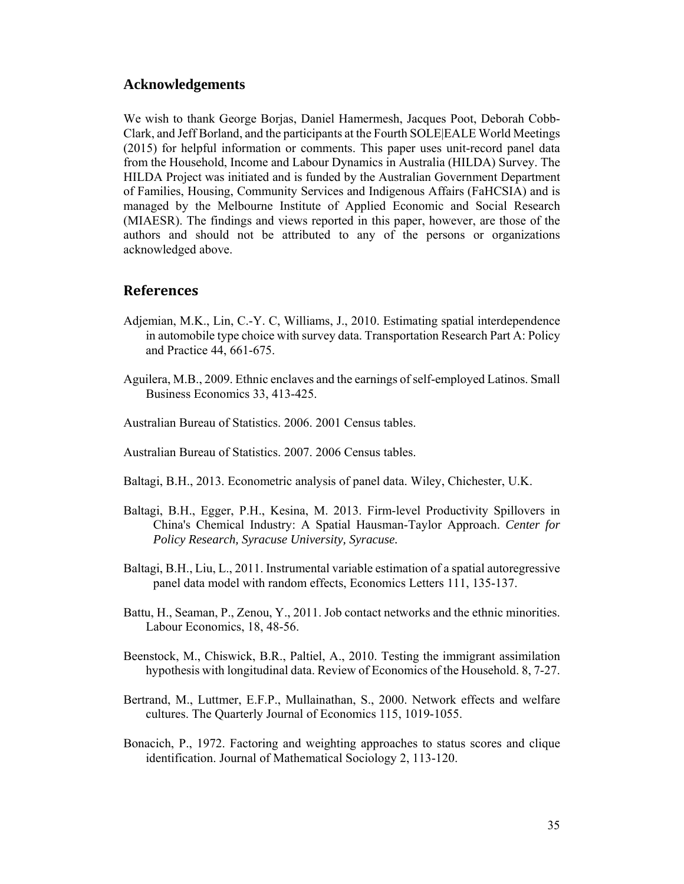#### **Acknowledgements**

We wish to thank George Borjas, Daniel Hamermesh, Jacques Poot, Deborah Cobb-Clark, and Jeff Borland, and the participants at the Fourth SOLE|EALE World Meetings (2015) for helpful information or comments. This paper uses unit-record panel data from the Household, Income and Labour Dynamics in Australia (HILDA) Survey. The HILDA Project was initiated and is funded by the Australian Government Department of Families, Housing, Community Services and Indigenous Affairs (FaHCSIA) and is managed by the Melbourne Institute of Applied Economic and Social Research (MIAESR). The findings and views reported in this paper, however, are those of the authors and should not be attributed to any of the persons or organizations acknowledged above.

### **References**

- Adjemian, M.K., Lin, C.-Y. C, Williams, J., 2010. Estimating spatial interdependence in automobile type choice with survey data. Transportation Research Part A: Policy and Practice 44, 661-675.
- Aguilera, M.B., 2009. Ethnic enclaves and the earnings of self-employed Latinos. Small Business Economics 33, 413-425.
- Australian Bureau of Statistics. 2006. 2001 Census tables.
- Australian Bureau of Statistics. 2007. 2006 Census tables.
- Baltagi, B.H., 2013. Econometric analysis of panel data. Wiley, Chichester, U.K.
- Baltagi, B.H., Egger, P.H., Kesina, M. 2013. Firm-level Productivity Spillovers in China's Chemical Industry: A Spatial Hausman-Taylor Approach. *Center for Policy Research, Syracuse University, Syracuse.*
- Baltagi, B.H., Liu, L., 2011. Instrumental variable estimation of a spatial autoregressive panel data model with random effects, Economics Letters 111, 135-137.
- Battu, H., Seaman, P., Zenou, Y., 2011. Job contact networks and the ethnic minorities. Labour Economics, 18, 48-56.
- Beenstock, M., Chiswick, B.R., Paltiel, A., 2010. Testing the immigrant assimilation hypothesis with longitudinal data. Review of Economics of the Household. 8, 7-27.
- Bertrand, M., Luttmer, E.F.P., Mullainathan, S., 2000. Network effects and welfare cultures. The Quarterly Journal of Economics 115, 1019-1055.
- Bonacich, P., 1972. Factoring and weighting approaches to status scores and clique identification. Journal of Mathematical Sociology 2, 113-120.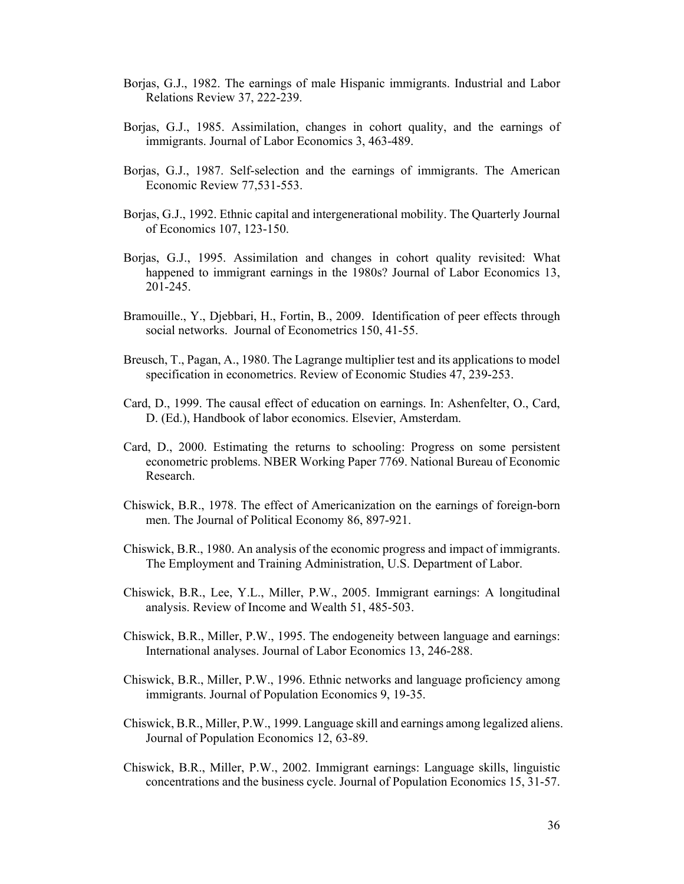- Borjas, G.J., 1982. The earnings of male Hispanic immigrants. Industrial and Labor Relations Review 37, 222-239.
- Borjas, G.J., 1985. Assimilation, changes in cohort quality, and the earnings of immigrants. Journal of Labor Economics 3, 463-489.
- Borjas, G.J., 1987. Self-selection and the earnings of immigrants. The American Economic Review 77,531-553.
- Borjas, G.J., 1992. Ethnic capital and intergenerational mobility. The Quarterly Journal of Economics 107, 123-150.
- Borjas, G.J., 1995. Assimilation and changes in cohort quality revisited: What happened to immigrant earnings in the 1980s? Journal of Labor Economics 13, 201-245.
- Bramouille., Y., Djebbari, H., Fortin, B., 2009. Identification of peer effects through social networks. Journal of Econometrics 150, 41-55.
- Breusch, T., Pagan, A., 1980. The Lagrange multiplier test and its applications to model specification in econometrics. Review of Economic Studies 47, 239-253.
- Card, D., 1999. The causal effect of education on earnings. In: Ashenfelter, O., Card, D. (Ed.), Handbook of labor economics. Elsevier, Amsterdam.
- Card, D., 2000. Estimating the returns to schooling: Progress on some persistent econometric problems. NBER Working Paper 7769. National Bureau of Economic Research.
- Chiswick, B.R., 1978. The effect of Americanization on the earnings of foreign-born men. The Journal of Political Economy 86, 897-921.
- Chiswick, B.R., 1980. An analysis of the economic progress and impact of immigrants. The Employment and Training Administration, U.S. Department of Labor.
- Chiswick, B.R., Lee, Y.L., Miller, P.W., 2005. Immigrant earnings: A longitudinal analysis. Review of Income and Wealth 51, 485-503.
- Chiswick, B.R., Miller, P.W., 1995. The endogeneity between language and earnings: International analyses. Journal of Labor Economics 13, 246-288.
- Chiswick, B.R., Miller, P.W., 1996. Ethnic networks and language proficiency among immigrants. Journal of Population Economics 9, 19-35.
- Chiswick, B.R., Miller, P.W., 1999. Language skill and earnings among legalized aliens. Journal of Population Economics 12, 63-89.
- Chiswick, B.R., Miller, P.W., 2002. Immigrant earnings: Language skills, linguistic concentrations and the business cycle. Journal of Population Economics 15, 31-57.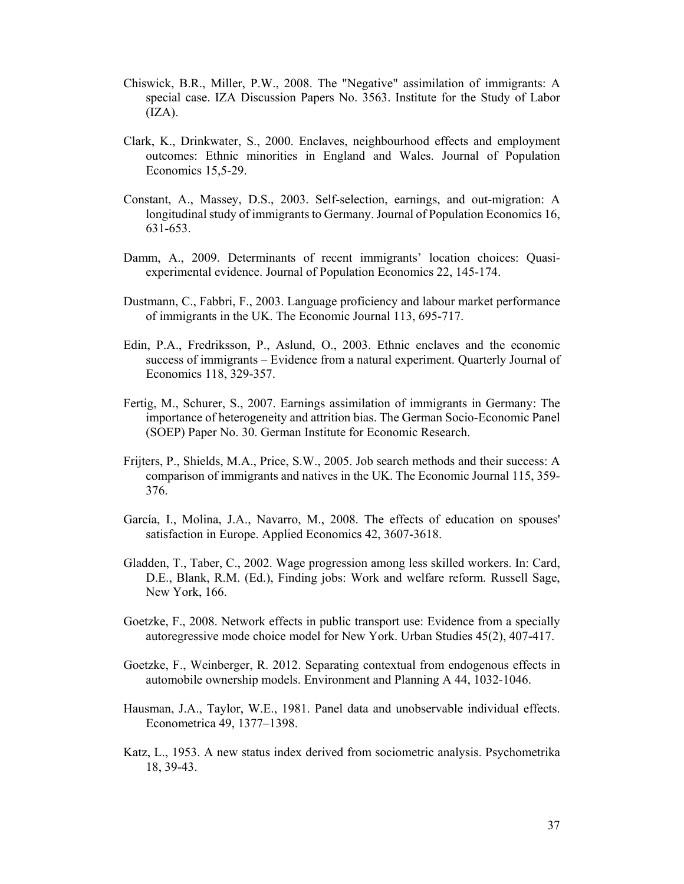- Chiswick, B.R., Miller, P.W., 2008. The "Negative" assimilation of immigrants: A special case. IZA Discussion Papers No. 3563. Institute for the Study of Labor  $(IZA).$
- Clark, K., Drinkwater, S., 2000. Enclaves, neighbourhood effects and employment outcomes: Ethnic minorities in England and Wales. Journal of Population Economics 15,5-29.
- Constant, A., Massey, D.S., 2003. Self-selection, earnings, and out-migration: A longitudinal study of immigrants to Germany. Journal of Population Economics 16, 631-653.
- Damm, A., 2009. Determinants of recent immigrants' location choices: Quasiexperimental evidence. Journal of Population Economics 22, 145-174.
- Dustmann, C., Fabbri, F., 2003. Language proficiency and labour market performance of immigrants in the UK. The Economic Journal 113, 695-717.
- Edin, P.A., Fredriksson, P., Aslund, O., 2003. Ethnic enclaves and the economic success of immigrants – Evidence from a natural experiment. Quarterly Journal of Economics 118, 329-357.
- Fertig, M., Schurer, S., 2007. Earnings assimilation of immigrants in Germany: The importance of heterogeneity and attrition bias. The German Socio-Economic Panel (SOEP) Paper No. 30. German Institute for Economic Research.
- Frijters, P., Shields, M.A., Price, S.W., 2005. Job search methods and their success: A comparison of immigrants and natives in the UK. The Economic Journal 115, 359- 376.
- García, I., Molina, J.A., Navarro, M., 2008. The effects of education on spouses' satisfaction in Europe. Applied Economics 42, 3607-3618.
- Gladden, T., Taber, C., 2002. Wage progression among less skilled workers. In: Card, D.E., Blank, R.M. (Ed.), Finding jobs: Work and welfare reform. Russell Sage, New York, 166.
- Goetzke, F., 2008. Network effects in public transport use: Evidence from a specially autoregressive mode choice model for New York. Urban Studies 45(2), 407-417.
- Goetzke, F., Weinberger, R. 2012. Separating contextual from endogenous effects in automobile ownership models. Environment and Planning A 44, 1032-1046.
- Hausman, J.A., Taylor, W.E., 1981. Panel data and unobservable individual effects. Econometrica 49, 1377–1398.
- Katz, L., 1953. A new status index derived from sociometric analysis. Psychometrika 18, 39-43.